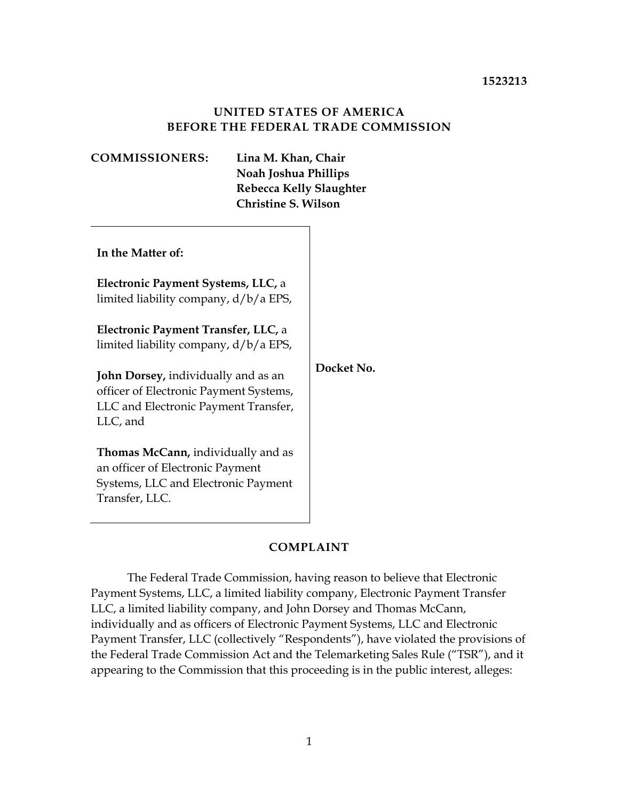### **UNITED STATES OF AMERICA BEFORE THE FEDERAL TRADE COMMISSION**

| <b>COMMISSIONERS:</b>                                                                                                                    | Lina M. Khan, Chair<br>Noah Joshua Phillips<br><b>Rebecca Kelly Slaughter</b><br><b>Christine S. Wilson</b> |                   |
|------------------------------------------------------------------------------------------------------------------------------------------|-------------------------------------------------------------------------------------------------------------|-------------------|
| In the Matter of:                                                                                                                        |                                                                                                             |                   |
| Electronic Payment Systems, LLC, a<br>limited liability company, d/b/a EPS,                                                              |                                                                                                             |                   |
| Electronic Payment Transfer, LLC, a<br>limited liability company, d/b/a EPS,                                                             |                                                                                                             |                   |
| <b>John Dorsey, individually and as an</b><br>officer of Electronic Payment Systems,<br>LLC and Electronic Payment Transfer,<br>LLC, and |                                                                                                             | Docket No. C-4764 |
| <b>Thomas McCann, individually and as</b><br>an officer of Electronic Payment<br>Systems, LLC and Electronic Payment<br>Transfer, LLC.   |                                                                                                             |                   |

## **COMPLAINT**

 LLC, a limited liability company, and John Dorsey and Thomas McCann, Payment Transfer, LLC (collectively "Respondents"), have violated the provisions of The Federal Trade Commission, having reason to believe that Electronic Payment Systems, LLC, a limited liability company, Electronic Payment Transfer individually and as officers of Electronic Payment Systems, LLC and Electronic the Federal Trade Commission Act and the Telemarketing Sales Rule ("TSR"), and it appearing to the Commission that this proceeding is in the public interest, alleges: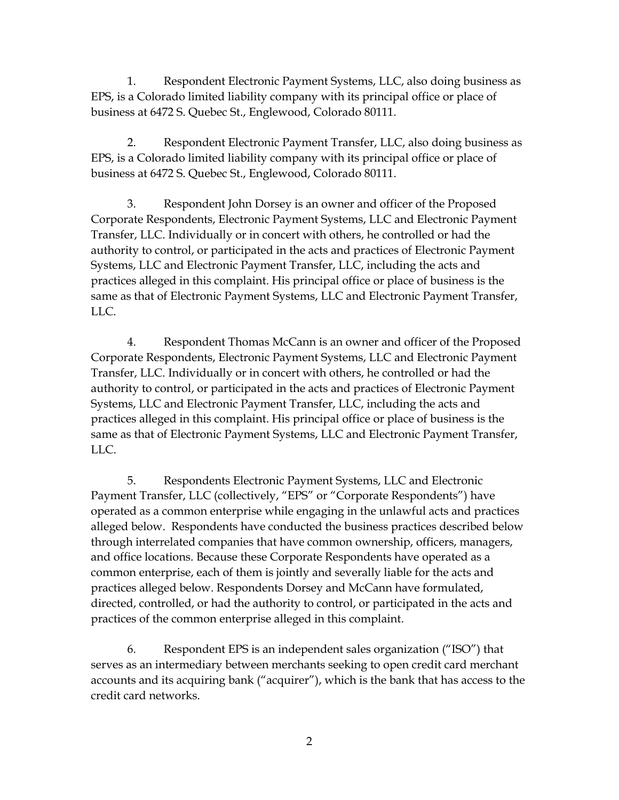business at 6472 S. Quebec St., Englewood, Colorado 80111. 1. Respondent Electronic Payment Systems, LLC, also doing business as EPS, is a Colorado limited liability company with its principal office or place of

 business at 6472 S. Quebec St., Englewood, Colorado 80111. 2. Respondent Electronic Payment Transfer, LLC, also doing business as EPS, is a Colorado limited liability company with its principal office or place of

3. Respondent John Dorsey is an owner and officer of the Proposed Corporate Respondents, Electronic Payment Systems, LLC and Electronic Payment Transfer, LLC. Individually or in concert with others, he controlled or had the authority to control, or participated in the acts and practices of Electronic Payment Systems, LLC and Electronic Payment Transfer, LLC, including the acts and practices alleged in this complaint. His principal office or place of business is the same as that of Electronic Payment Systems, LLC and Electronic Payment Transfer, LLC.

4. Respondent Thomas McCann is an owner and officer of the Proposed Corporate Respondents, Electronic Payment Systems, LLC and Electronic Payment Transfer, LLC. Individually or in concert with others, he controlled or had the authority to control, or participated in the acts and practices of Electronic Payment Systems, LLC and Electronic Payment Transfer, LLC, including the acts and practices alleged in this complaint. His principal office or place of business is the same as that of Electronic Payment Systems, LLC and Electronic Payment Transfer, LLC.

 Payment Transfer, LLC (collectively, "EPS" or "Corporate Respondents") have operated as a common enterprise while engaging in the unlawful acts and practices alleged below. Respondents have conducted the business practices described below common enterprise, each of them is jointly and severally liable for the acts and 5. Respondents Electronic Payment Systems, LLC and Electronic through interrelated companies that have common ownership, officers, managers, and office locations. Because these Corporate Respondents have operated as a practices alleged below. Respondents Dorsey and McCann have formulated, directed, controlled, or had the authority to control, or participated in the acts and practices of the common enterprise alleged in this complaint.

6. Respondent EPS is an independent sales organization ("ISO") that serves as an intermediary between merchants seeking to open credit card merchant accounts and its acquiring bank ("acquirer"), which is the bank that has access to the credit card networks.

2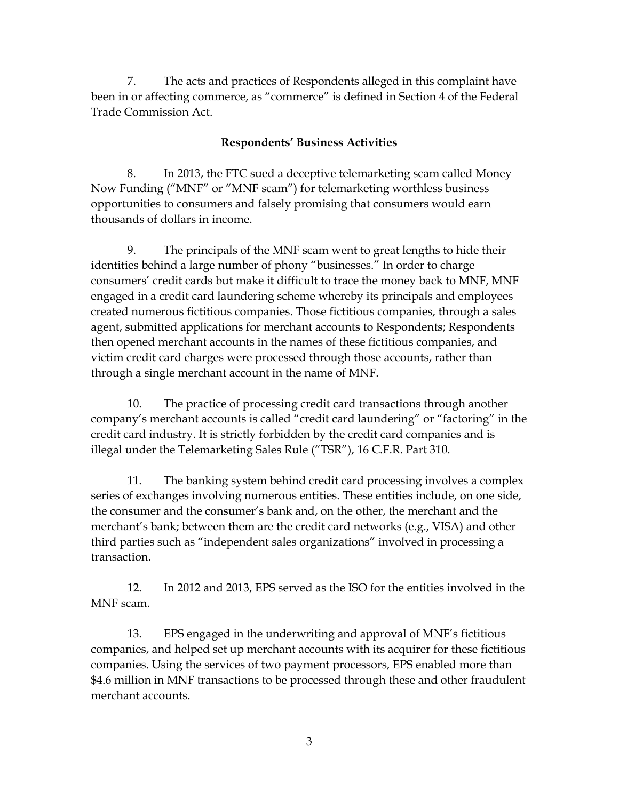7. The acts and practices of Respondents alleged in this complaint have been in or affecting commerce, as "commerce" is defined in Section 4 of the Federal Trade Commission Act.

#### **Respondents' Business Activities**

 Now Funding ("MNF" or "MNF scam") for telemarketing worthless business 8. In 2013, the FTC sued a deceptive telemarketing scam called Money opportunities to consumers and falsely promising that consumers would earn thousands of dollars in income.

 9. The principals of the MNF scam went to great lengths to hide their consumers' credit cards but make it difficult to trace the money back to MNF, MNF through a single merchant account in the name of MNF. identities behind a large number of phony "businesses." In order to charge engaged in a credit card laundering scheme whereby its principals and employees created numerous fictitious companies. Those fictitious companies, through a sales agent, submitted applications for merchant accounts to Respondents; Respondents then opened merchant accounts in the names of these fictitious companies, and victim credit card charges were processed through those accounts, rather than

10. The practice of processing credit card transactions through another company's merchant accounts is called "credit card laundering" or "factoring" in the credit card industry. It is strictly forbidden by the credit card companies and is illegal under the Telemarketing Sales Rule ("TSR"), 16 C.F.R. Part 310.

 the consumer and the consumer's bank and, on the other, the merchant and the merchant's bank; between them are the credit card networks (e.g., VISA) and other 11. The banking system behind credit card processing involves a complex series of exchanges involving numerous entities. These entities include, on one side, third parties such as "independent sales organizations" involved in processing a transaction.

 12. In 2012 and 2013, EPS served as the ISO for the entities involved in the MNF scam.

 companies, and helped set up merchant accounts with its acquirer for these fictitious 13. EPS engaged in the underwriting and approval of MNF's fictitious companies. Using the services of two payment processors, EPS enabled more than \$4.6 million in MNF transactions to be processed through these and other fraudulent merchant accounts.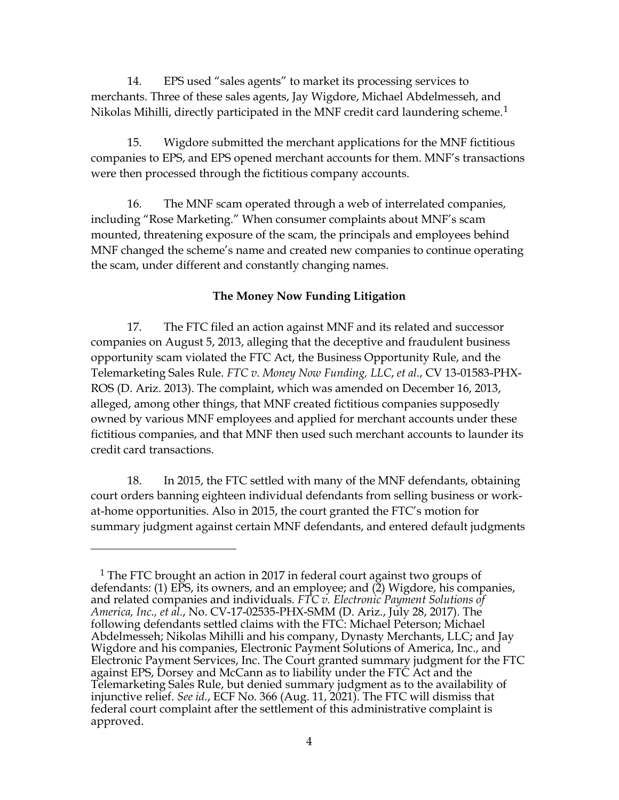14. EPS used "sales agents" to market its processing services to merchants. Three of these sales agents, Jay Wigdore, Michael Abdelmesseh, and Nikolas Mihilli, directly participated in the MNF credit card laundering scheme.<sup>1</sup>

 15. Wigdore submitted the merchant applications for the MNF fictitious were then processed through the fictitious company accounts. companies to EPS, and EPS opened merchant accounts for them. MNF's transactions

16. The MNF scam operated through a web of interrelated companies, including "Rose Marketing." When consumer complaints about MNF's scam mounted, threatening exposure of the scam, the principals and employees behind MNF changed the scheme's name and created new companies to continue operating the scam, under different and constantly changing names.

#### **The Money Now Funding Litigation**

 17. The FTC filed an action against MNF and its related and successor companies on August 5, 2013, alleging that the deceptive and fraudulent business opportunity scam violated the FTC Act, the Business Opportunity Rule, and the Telemarketing Sales Rule. *FTC v. Money Now Funding, LLC*, *et al.*, CV 13-01583-PHX-ROS (D. Ariz. 2013). The complaint, which was amended on December 16, 2013, alleged, among other things, that MNF created fictitious companies supposedly owned by various MNF employees and applied for merchant accounts under these fictitious companies, and that MNF then used such merchant accounts to launder its credit card transactions.

 18. In 2015, the FTC settled with many of the MNF defendants, obtaining summary judgment against certain MNF defendants, and entered default judgments court orders banning eighteen individual defendants from selling business or workat-home opportunities. Also in 2015, the court granted the FTC's motion for

<span id="page-3-0"></span><sup>&</sup>lt;sup>1</sup> The FTC brought an action in 2017 in federal court against two groups of defendants: (1) EPS, its owners, and an employee; and (2) Wigdore, his companies,  and related companies and individuals*. FTC v. Electronic Payment Solutions of*  Abdelmesseh; Nikolas Mihilli and his company, Dynasty Merchants, LLC; and Jay injunctive relief. *See id.*, ECF No. 366 (Aug. 11, 2021). The FTC will dismiss that federal court complaint after the settlement of this administrative complaint is *America, Inc., et al.*, No. CV-17-02535-PHX-SMM (D. Ariz., July 28, 2017). The following defendants settled claims with the FTC: Michael Peterson; Michael Wigdore and his companies, Electronic Payment Solutions of America, Inc., and Electronic Payment Services, Inc. The Court granted summary judgment for the FTC against EPS, Dorsey and McCann as to liability under the FTC Act and the Telemarketing Sales Rule, but denied summary judgment as to the availability of approved.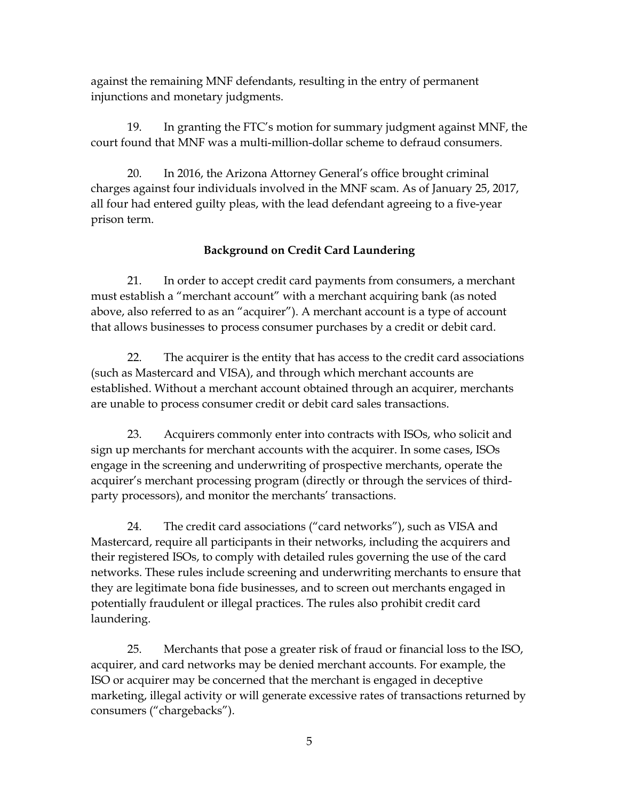against the remaining MNF defendants, resulting in the entry of permanent injunctions and monetary judgments.

19. In granting the FTC's motion for summary judgment against MNF, the court found that MNF was a multi-million-dollar scheme to defraud consumers.

 charges against four individuals involved in the MNF scam. As of January 25, 2017, all four had entered guilty pleas, with the lead defendant agreeing to a five-year 20. In 2016, the Arizona Attorney General's office brought criminal prison term.

## **Background on Credit Card Laundering**

 21. In order to accept credit card payments from consumers, a merchant must establish a "merchant account" with a merchant acquiring bank (as noted above, also referred to as an "acquirer"). A merchant account is a type of account that allows businesses to process consumer purchases by a credit or debit card.

 22. The acquirer is the entity that has access to the credit card associations (such as Mastercard and VISA), and through which merchant accounts are established. Without a merchant account obtained through an acquirer, merchants are unable to process consumer credit or debit card sales transactions.

 sign up merchants for merchant accounts with the acquirer. In some cases, ISOs acquirer's merchant processing program (directly or through the services of thirdparty processors), and monitor the merchants' transactions. 23. Acquirers commonly enter into contracts with ISOs, who solicit and engage in the screening and underwriting of prospective merchants, operate the

 their registered ISOs, to comply with detailed rules governing the use of the card networks. These rules include screening and underwriting merchants to ensure that they are legitimate bona fide businesses, and to screen out merchants engaged in 24. The credit card associations ("card networks"), such as VISA and Mastercard, require all participants in their networks, including the acquirers and potentially fraudulent or illegal practices. The rules also prohibit credit card laundering.

 25. Merchants that pose a greater risk of fraud or financial loss to the ISO, acquirer, and card networks may be denied merchant accounts. For example, the ISO or acquirer may be concerned that the merchant is engaged in deceptive marketing, illegal activity or will generate excessive rates of transactions returned by consumers ("chargebacks").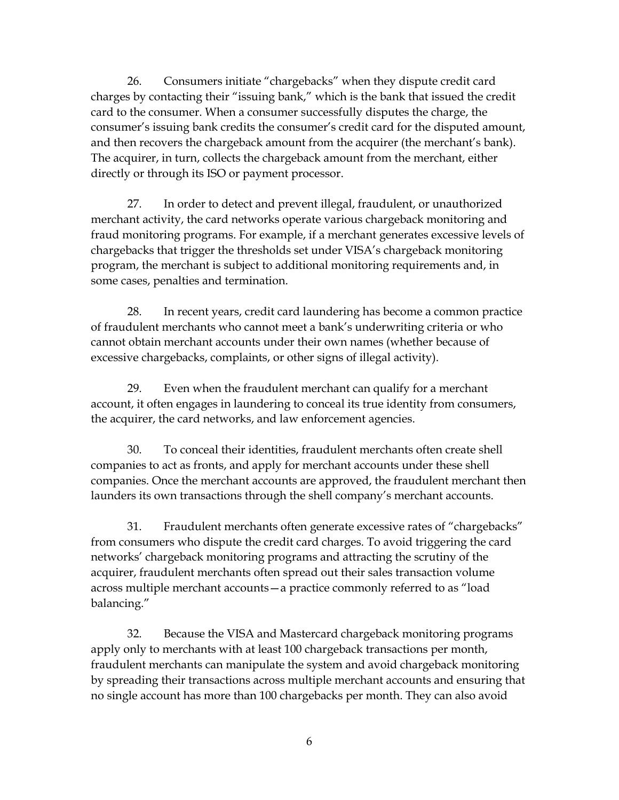26. Consumers initiate "chargebacks" when they dispute credit card card to the consumer. When a consumer successfully disputes the charge, the directly or through its ISO or payment processor. charges by contacting their "issuing bank," which is the bank that issued the credit consumer's issuing bank credits the consumer's credit card for the disputed amount, and then recovers the chargeback amount from the acquirer (the merchant's bank). The acquirer, in turn, collects the chargeback amount from the merchant, either

 fraud monitoring programs. For example, if a merchant generates excessive levels of program, the merchant is subject to additional monitoring requirements and, in 27. In order to detect and prevent illegal, fraudulent, or unauthorized merchant activity, the card networks operate various chargeback monitoring and chargebacks that trigger the thresholds set under VISA's chargeback monitoring some cases, penalties and termination.

28. In recent years, credit card laundering has become a common practice of fraudulent merchants who cannot meet a bank's underwriting criteria or who cannot obtain merchant accounts under their own names (whether because of excessive chargebacks, complaints, or other signs of illegal activity).

 account, it often engages in laundering to conceal its true identity from consumers, 29. Even when the fraudulent merchant can qualify for a merchant the acquirer, the card networks, and law enforcement agencies.

 companies. Once the merchant accounts are approved, the fraudulent merchant then 30. To conceal their identities, fraudulent merchants often create shell companies to act as fronts, and apply for merchant accounts under these shell launders its own transactions through the shell company's merchant accounts.

 acquirer, fraudulent merchants often spread out their sales transaction volume 31. Fraudulent merchants often generate excessive rates of "chargebacks" from consumers who dispute the credit card charges. To avoid triggering the card networks' chargeback monitoring programs and attracting the scrutiny of the across multiple merchant accounts—a practice commonly referred to as "load balancing."

 32. Because the VISA and Mastercard chargeback monitoring programs apply only to merchants with at least 100 chargeback transactions per month, fraudulent merchants can manipulate the system and avoid chargeback monitoring by spreading their transactions across multiple merchant accounts and ensuring that no single account has more than 100 chargebacks per month. They can also avoid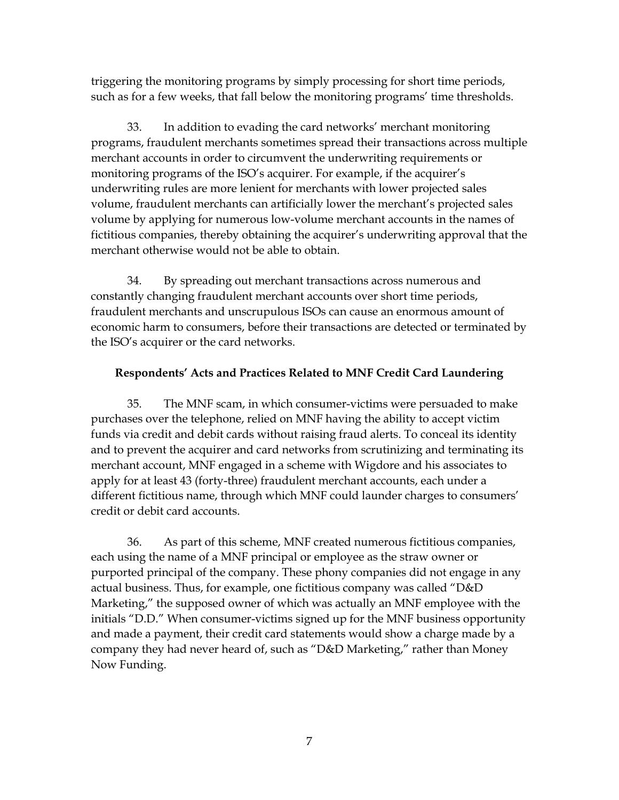triggering the monitoring programs by simply processing for short time periods, such as for a few weeks, that fall below the monitoring programs' time thresholds.

 merchant accounts in order to circumvent the underwriting requirements or volume by applying for numerous low-volume merchant accounts in the names of 33. In addition to evading the card networks' merchant monitoring programs, fraudulent merchants sometimes spread their transactions across multiple monitoring programs of the ISO's acquirer. For example, if the acquirer's underwriting rules are more lenient for merchants with lower projected sales volume, fraudulent merchants can artificially lower the merchant's projected sales fictitious companies, thereby obtaining the acquirer's underwriting approval that the merchant otherwise would not be able to obtain.

 34. By spreading out merchant transactions across numerous and fraudulent merchants and unscrupulous ISOs can cause an enormous amount of economic harm to consumers, before their transactions are detected or terminated by the ISO's acquirer or the card networks. constantly changing fraudulent merchant accounts over short time periods,

## **Respondents' Acts and Practices Related to MNF Credit Card Laundering**

 and to prevent the acquirer and card networks from scrutinizing and terminating its merchant account, MNF engaged in a scheme with Wigdore and his associates to 35. The MNF scam, in which consumer-victims were persuaded to make purchases over the telephone, relied on MNF having the ability to accept victim funds via credit and debit cards without raising fraud alerts. To conceal its identity apply for at least 43 (forty-three) fraudulent merchant accounts, each under a different fictitious name, through which MNF could launder charges to consumers' credit or debit card accounts.

 each using the name of a MNF principal or employee as the straw owner or Now Funding. 36. As part of this scheme, MNF created numerous fictitious companies, purported principal of the company. These phony companies did not engage in any actual business. Thus, for example, one fictitious company was called "D&D Marketing," the supposed owner of which was actually an MNF employee with the initials "D.D." When consumer-victims signed up for the MNF business opportunity and made a payment, their credit card statements would show a charge made by a company they had never heard of, such as "D&D Marketing," rather than Money Now Funding.<br>
7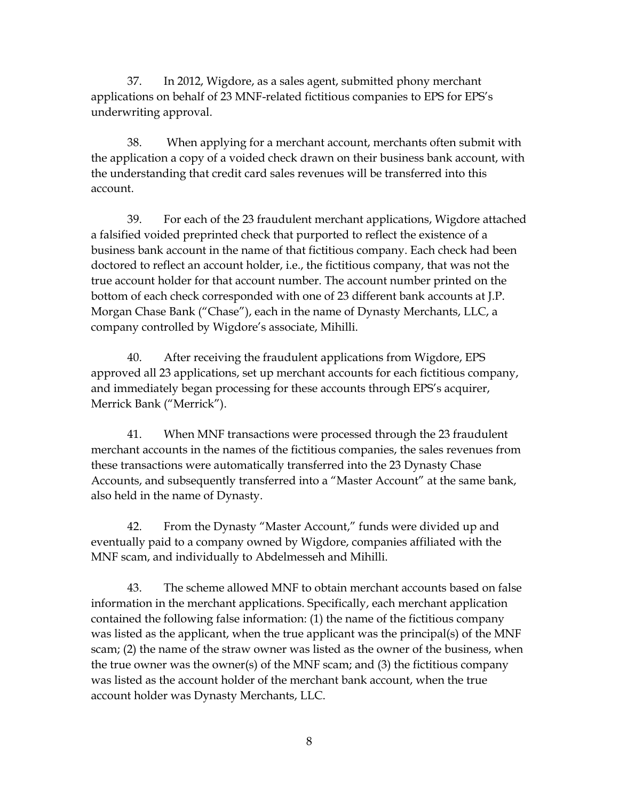37. In 2012, Wigdore, as a sales agent, submitted phony merchant applications on behalf of 23 MNF-related fictitious companies to EPS for EPS's underwriting approval.

 38. When applying for a merchant account, merchants often submit with the application a copy of a voided check drawn on their business bank account, with account. the understanding that credit card sales revenues will be transferred into this

 doctored to reflect an account holder, i.e., the fictitious company, that was not the true account holder for that account number. The account number printed on the bottom of each check corresponded with one of 23 different bank accounts at J.P. company controlled by Wigdore's associate, Mihilli. 39. For each of the 23 fraudulent merchant applications, Wigdore attached a falsified voided preprinted check that purported to reflect the existence of a business bank account in the name of that fictitious company. Each check had been Morgan Chase Bank ("Chase"), each in the name of Dynasty Merchants, LLC, a

40. After receiving the fraudulent applications from Wigdore, EPS approved all 23 applications, set up merchant accounts for each fictitious company, and immediately began processing for these accounts through EPS's acquirer, Merrick Bank ("Merrick").

41. When MNF transactions were processed through the 23 fraudulent merchant accounts in the names of the fictitious companies, the sales revenues from these transactions were automatically transferred into the 23 Dynasty Chase Accounts, and subsequently transferred into a "Master Account" at the same bank, also held in the name of Dynasty.

 42. From the Dynasty "Master Account," funds were divided up and MNF scam, and individually to Abdelmesseh and Mihilli. eventually paid to a company owned by Wigdore, companies affiliated with the

 contained the following false information: (1) the name of the fictitious company was listed as the account holder of the merchant bank account, when the true 43. The scheme allowed MNF to obtain merchant accounts based on false information in the merchant applications. Specifically, each merchant application was listed as the applicant, when the true applicant was the principal(s) of the MNF scam; (2) the name of the straw owner was listed as the owner of the business, when the true owner was the owner(s) of the MNF scam; and (3) the fictitious company account holder was Dynasty Merchants, LLC.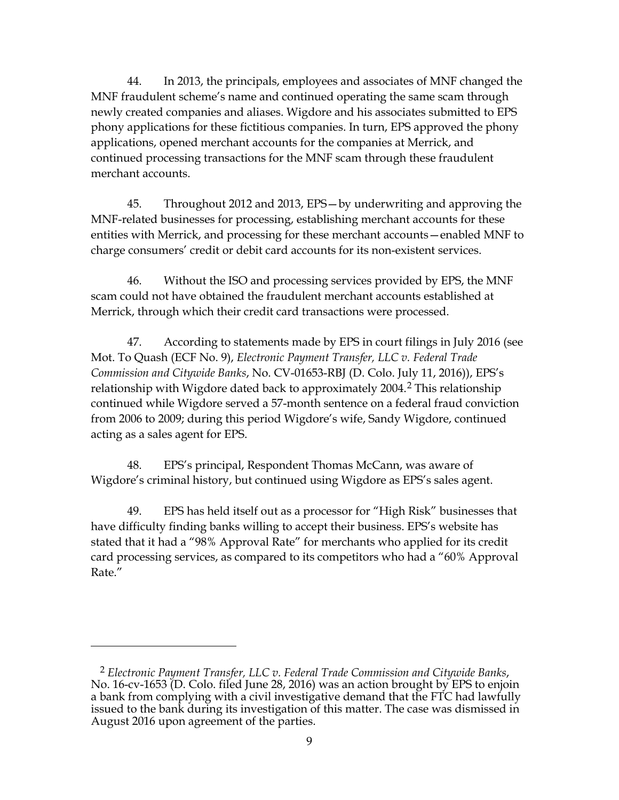44. In 2013, the principals, employees and associates of MNF changed the applications, opened merchant accounts for the companies at Merrick, and MNF fraudulent scheme's name and continued operating the same scam through newly created companies and aliases. Wigdore and his associates submitted to EPS phony applications for these fictitious companies. In turn, EPS approved the phony continued processing transactions for the MNF scam through these fraudulent merchant accounts.

45. Throughout 2012 and 2013, EPS—by underwriting and approving the MNF-related businesses for processing, establishing merchant accounts for these entities with Merrick, and processing for these merchant accounts—enabled MNF to charge consumers' credit or debit card accounts for its non-existent services.

 scam could not have obtained the fraudulent merchant accounts established at 46. Without the ISO and processing services provided by EPS, the MNF Merrick, through which their credit card transactions were processed.

 Mot. To Quash (ECF No. 9), *Electronic Payment Transfer, LLC v. Federal Trade*  continued while Wigdore served a 57-month sentence on a federal fraud conviction 47. According to statements made by EPS in court filings in July 2016 (see *Commission and Citywide Banks*, No. CV-01653-RBJ (D. Colo. July 11, 2016)), EPS's relationship with Wigdore dated back to approximately [2](#page-8-0)004.<sup>2</sup> This relationship from 2006 to 2009; during this period Wigdore's wife, Sandy Wigdore, continued acting as a sales agent for EPS.

48. EPS's principal, Respondent Thomas McCann, was aware of Wigdore's criminal history, but continued using Wigdore as EPS's sales agent.

 49. EPS has held itself out as a processor for "High Risk" businesses that card processing services, as compared to its competitors who had a "60% Approval have difficulty finding banks willing to accept their business. EPS's website has stated that it had a "98% Approval Rate" for merchants who applied for its credit Rate."

<span id="page-8-0"></span> <sup>2</sup>*Electronic Payment Transfer, LLC v. Federal Trade Commission and Citywide Banks*, August 2016 upon agreement of the parties. 9 No. 16-cv-1653 (D. Colo. filed June 28, 2016) was an action brought by EPS to enjoin a bank from complying with a civil investigative demand that the FTC had lawfully issued to the bank during its investigation of this matter. The case was dismissed in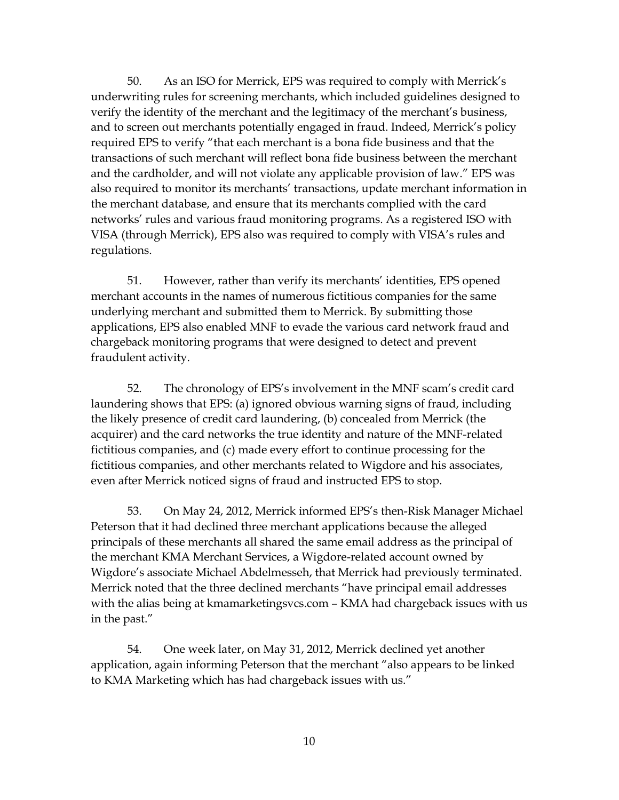verify the identity of the merchant and the legitimacy of the merchant's business, transactions of such merchant will reflect bona fide business between the merchant networks' rules and various fraud monitoring programs. As a registered ISO with 50. As an ISO for Merrick, EPS was required to comply with Merrick's underwriting rules for screening merchants, which included guidelines designed to and to screen out merchants potentially engaged in fraud. Indeed, Merrick's policy required EPS to verify "that each merchant is a bona fide business and that the and the cardholder, and will not violate any applicable provision of law." EPS was also required to monitor its merchants' transactions, update merchant information in the merchant database, and ensure that its merchants complied with the card VISA (through Merrick), EPS also was required to comply with VISA's rules and regulations.

 51. However, rather than verify its merchants' identities, EPS opened underlying merchant and submitted them to Merrick. By submitting those chargeback monitoring programs that were designed to detect and prevent merchant accounts in the names of numerous fictitious companies for the same applications, EPS also enabled MNF to evade the various card network fraud and fraudulent activity.

 laundering shows that EPS: (a) ignored obvious warning signs of fraud, including even after Merrick noticed signs of fraud and instructed EPS to stop. 52. The chronology of EPS's involvement in the MNF scam's credit card the likely presence of credit card laundering, (b) concealed from Merrick (the acquirer) and the card networks the true identity and nature of the MNF-related fictitious companies, and (c) made every effort to continue processing for the fictitious companies, and other merchants related to Wigdore and his associates,

 with the alias being at [kmamarketingsvcs.com](https://kmamarketingsvcs.com) – KMA had chargeback issues with us 53. On May 24, 2012, Merrick informed EPS's then-Risk Manager Michael Peterson that it had declined three merchant applications because the alleged principals of these merchants all shared the same email address as the principal of the merchant KMA Merchant Services, a Wigdore-related account owned by Wigdore's associate Michael Abdelmesseh, that Merrick had previously terminated. Merrick noted that the three declined merchants "have principal email addresses in the past."

 54. One week later, on May 31, 2012, Merrick declined yet another application, again informing Peterson that the merchant "also appears to be linked to KMA Marketing which has had chargeback issues with us."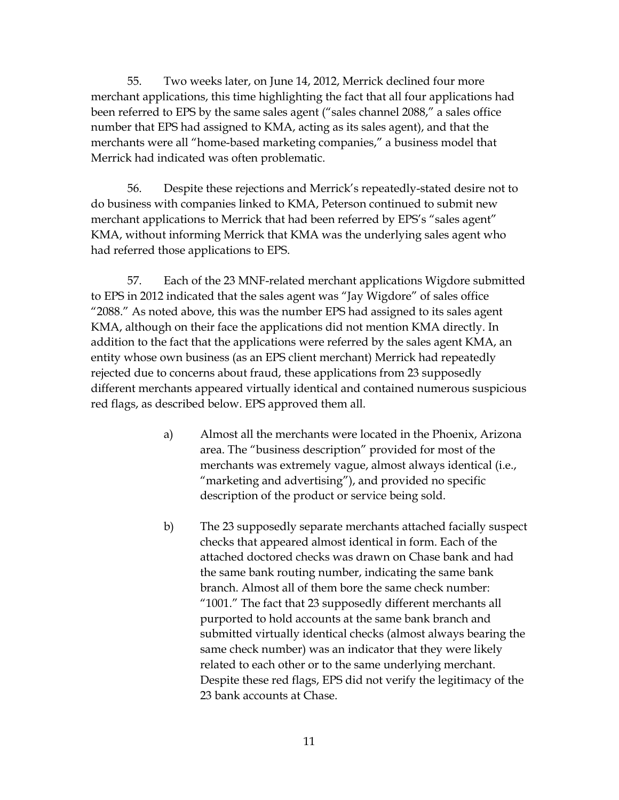55. Two weeks later, on June 14, 2012, Merrick declined four more merchant applications, this time highlighting the fact that all four applications had been referred to EPS by the same sales agent ("sales channel 2088," a sales office number that EPS had assigned to KMA, acting as its sales agent), and that the merchants were all "home-based marketing companies," a business model that Merrick had indicated was often problematic.

 merchant applications to Merrick that had been referred by EPS's "sales agent" KMA, without informing Merrick that KMA was the underlying sales agent who 56. Despite these rejections and Merrick's repeatedly-stated desire not to do business with companies linked to KMA, Peterson continued to submit new had referred those applications to EPS.

 to EPS in 2012 indicated that the sales agent was "Jay Wigdore" of sales office "2088." As noted above, this was the number EPS had assigned to its sales agent entity whose own business (as an EPS client merchant) Merrick had repeatedly red flags, as described below. EPS approved them all. 57. Each of the 23 MNF-related merchant applications Wigdore submitted KMA, although on their face the applications did not mention KMA directly. In addition to the fact that the applications were referred by the sales agent KMA, an rejected due to concerns about fraud, these applications from 23 supposedly different merchants appeared virtually identical and contained numerous suspicious

- area. The "business description" provided for most of the merchants was extremely vague, almost always identical (i.e., "marketing and advertising"), and provided no specific a) Almost all the merchants were located in the Phoenix, Arizona description of the product or service being sold.
- attached doctored checks was drawn on Chase bank and had b) The 23 supposedly separate merchants attached facially suspect checks that appeared almost identical in form. Each of the the same bank routing number, indicating the same bank branch. Almost all of them bore the same check number: "1001." The fact that 23 supposedly different merchants all purported to hold accounts at the same bank branch and submitted virtually identical checks (almost always bearing the same check number) was an indicator that they were likely related to each other or to the same underlying merchant. Despite these red flags, EPS did not verify the legitimacy of the 23 bank accounts at Chase.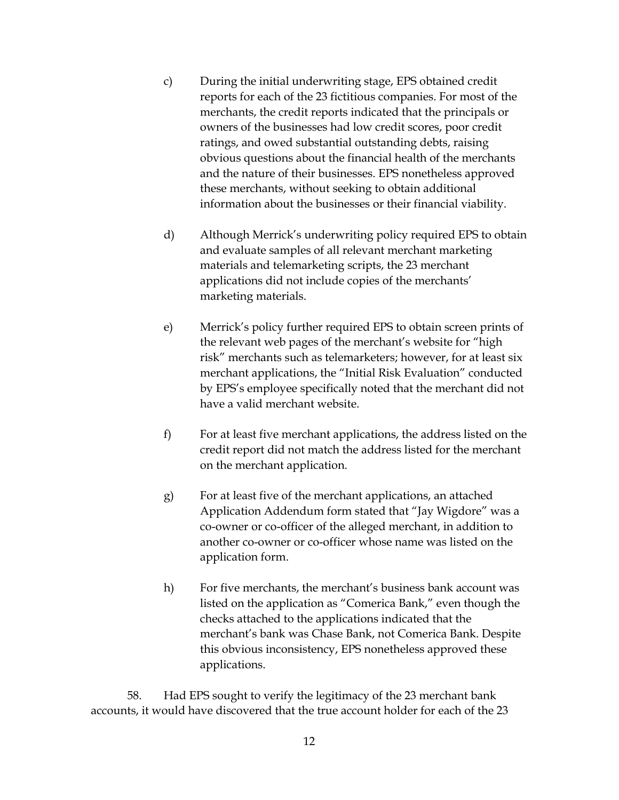- reports for each of the 23 fictitious companies. For most of the merchants, the credit reports indicated that the principals or obvious questions about the financial health of the merchants c) During the initial underwriting stage, EPS obtained credit owners of the businesses had low credit scores, poor credit ratings, and owed substantial outstanding debts, raising and the nature of their businesses. EPS nonetheless approved these merchants, without seeking to obtain additional information about the businesses or their financial viability.
- and evaluate samples of all relevant merchant marketing d) Although Merrick's underwriting policy required EPS to obtain materials and telemarketing scripts, the 23 merchant applications did not include copies of the merchants' marketing materials.
- the relevant web pages of the merchant's website for "high by EPS's employee specifically noted that the merchant did not e) Merrick's policy further required EPS to obtain screen prints of risk" merchants such as telemarketers; however, for at least six merchant applications, the "Initial Risk Evaluation" conducted have a valid merchant website.
- f) For at least five merchant applications, the address listed on the credit report did not match the address listed for the merchant on the merchant application.
- g) For at least five of the merchant applications, an attached Application Addendum form stated that "Jay Wigdore" was a co-owner or co-officer of the alleged merchant, in addition to another co-owner or co-officer whose name was listed on the application form.
- h) For five merchants, the merchant's business bank account was this obvious inconsistency, EPS nonetheless approved these listed on the application as "Comerica Bank," even though the checks attached to the applications indicated that the merchant's bank was Chase Bank, not Comerica Bank. Despite applications.

 accounts, it would have discovered that the true account holder for each of the 23 58. Had EPS sought to verify the legitimacy of the 23 merchant bank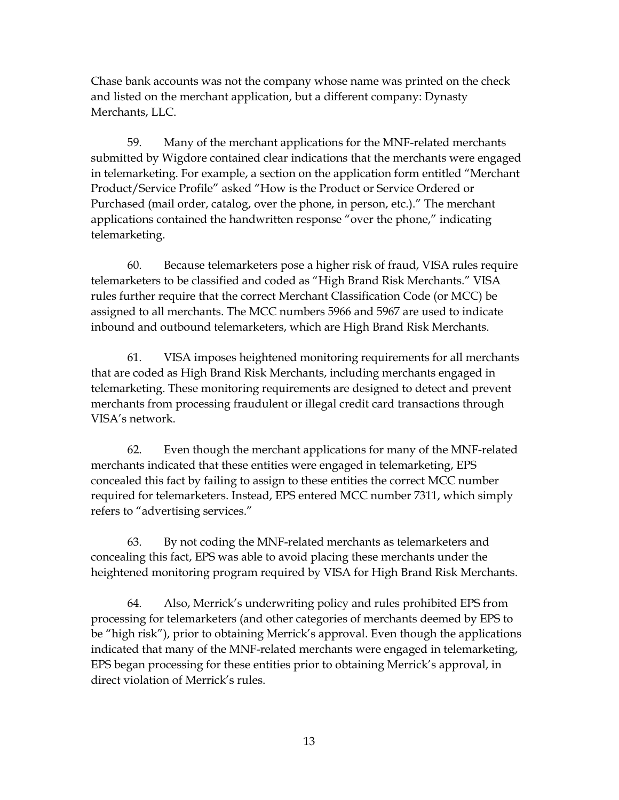Chase bank accounts was not the company whose name was printed on the check and listed on the merchant application, but a different company: Dynasty Merchants, LLC.

 Product/Service Profile" asked "How is the Product or Service Ordered or applications contained the handwritten response "over the phone," indicating 59. Many of the merchant applications for the MNF-related merchants submitted by Wigdore contained clear indications that the merchants were engaged in telemarketing. For example, a section on the application form entitled "Merchant Purchased (mail order, catalog, over the phone, in person, etc.)." The merchant telemarketing.

 assigned to all merchants. The MCC numbers 5966 and 5967 are used to indicate 60. Because telemarketers pose a higher risk of fraud, VISA rules require telemarketers to be classified and coded as "High Brand Risk Merchants." VISA rules further require that the correct Merchant Classification Code (or MCC) be inbound and outbound telemarketers, which are High Brand Risk Merchants.

 telemarketing. These monitoring requirements are designed to detect and prevent 61. VISA imposes heightened monitoring requirements for all merchants that are coded as High Brand Risk Merchants, including merchants engaged in merchants from processing fraudulent or illegal credit card transactions through VISA's network.

 merchants indicated that these entities were engaged in telemarketing, EPS concealed this fact by failing to assign to these entities the correct MCC number required for telemarketers. Instead, EPS entered MCC number 7311, which simply 62. Even though the merchant applications for many of the MNF-related refers to "advertising services."

 63. By not coding the MNF-related merchants as telemarketers and concealing this fact, EPS was able to avoid placing these merchants under the heightened monitoring program required by VISA for High Brand Risk Merchants.

 direct violation of Merrick's rules. 64. Also, Merrick's underwriting policy and rules prohibited EPS from processing for telemarketers (and other categories of merchants deemed by EPS to be "high risk"), prior to obtaining Merrick's approval. Even though the applications indicated that many of the MNF-related merchants were engaged in telemarketing, EPS began processing for these entities prior to obtaining Merrick's approval, in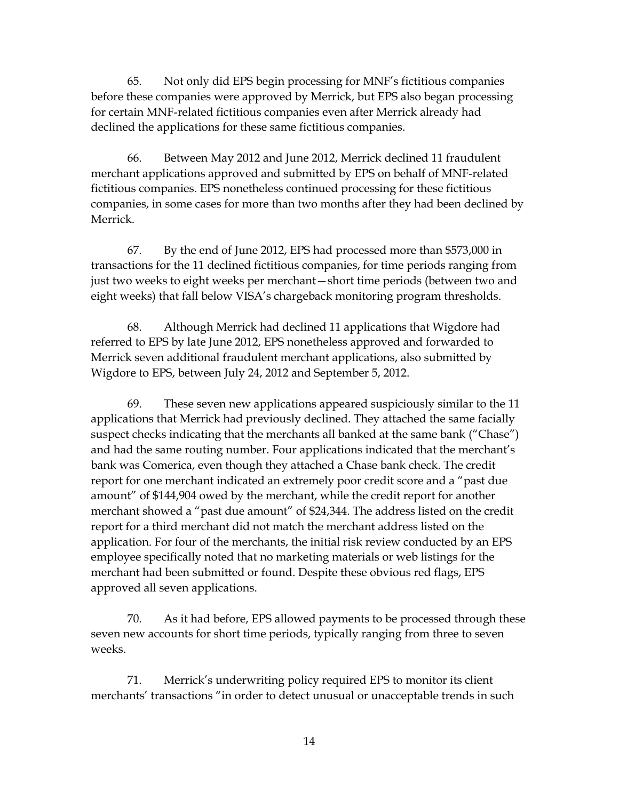before these companies were approved by Merrick, but EPS also began processing declined the applications for these same fictitious companies. 65. Not only did EPS begin processing for MNF's fictitious companies for certain MNF-related fictitious companies even after Merrick already had

 merchant applications approved and submitted by EPS on behalf of MNF-related companies, in some cases for more than two months after they had been declined by 66. Between May 2012 and June 2012, Merrick declined 11 fraudulent fictitious companies. EPS nonetheless continued processing for these fictitious Merrick.

 67. By the end of June 2012, EPS had processed more than \$573,000 in just two weeks to eight weeks per merchant—short time periods (between two and eight weeks) that fall below VISA's chargeback monitoring program thresholds. transactions for the 11 declined fictitious companies, for time periods ranging from

 Wigdore to EPS, between July 24, 2012 and September 5, 2012. 68. Although Merrick had declined 11 applications that Wigdore had referred to EPS by late June 2012, EPS nonetheless approved and forwarded to Merrick seven additional fraudulent merchant applications, also submitted by

 suspect checks indicating that the merchants all banked at the same bank ("Chase") bank was Comerica, even though they attached a Chase bank check. The credit amount" of \$144,904 owed by the merchant, while the credit report for another report for a third merchant did not match the merchant address listed on the application. For four of the merchants, the initial risk review conducted by an EPS merchant had been submitted or found. Despite these obvious red flags, EPS 69. These seven new applications appeared suspiciously similar to the 11 applications that Merrick had previously declined. They attached the same facially and had the same routing number. Four applications indicated that the merchant's report for one merchant indicated an extremely poor credit score and a "past due merchant showed a "past due amount" of \$24,344. The address listed on the credit employee specifically noted that no marketing materials or web listings for the approved all seven applications.

70. As it had before, EPS allowed payments to be processed through these seven new accounts for short time periods, typically ranging from three to seven weeks.

71. Merrick's underwriting policy required EPS to monitor its client merchants' transactions "in order to detect unusual or unacceptable trends in such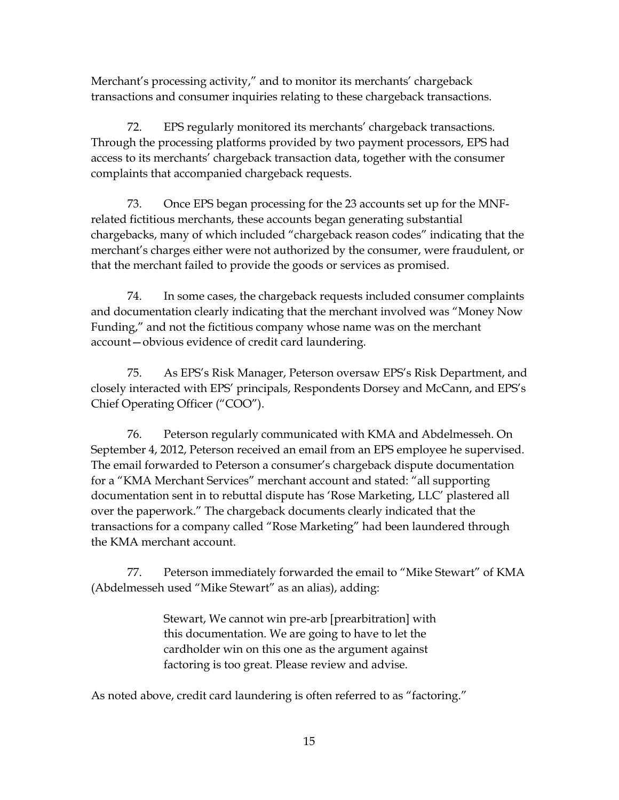Merchant's processing activity," and to monitor its merchants' chargeback transactions and consumer inquiries relating to these chargeback transactions.

72. EPS regularly monitored its merchants' chargeback transactions. Through the processing platforms provided by two payment processors, EPS had access to its merchants' chargeback transaction data, together with the consumer complaints that accompanied chargeback requests.

 merchant's charges either were not authorized by the consumer, were fraudulent, or 73. Once EPS began processing for the 23 accounts set up for the MNFrelated fictitious merchants, these accounts began generating substantial chargebacks, many of which included "chargeback reason codes" indicating that the that the merchant failed to provide the goods or services as promised.

 Funding," and not the fictitious company whose name was on the merchant 74. In some cases, the chargeback requests included consumer complaints and documentation clearly indicating that the merchant involved was "Money Now account—obvious evidence of credit card laundering.

Chief Operating Officer ("COO"). 75. As EPS's Risk Manager, Peterson oversaw EPS's Risk Department, and closely interacted with EPS' principals, Respondents Dorsey and McCann, and EPS's

 Chief Operating Officer ("COO"). 76. Peterson regularly communicated with KMA and Abdelmesseh. On The email forwarded to Peterson a consumer's chargeback dispute documentation September 4, 2012, Peterson received an email from an EPS employee he supervised. for a "KMA Merchant Services" merchant account and stated: "all supporting documentation sent in to rebuttal dispute has 'Rose Marketing, LLC' plastered all over the paperwork." The chargeback documents clearly indicated that the transactions for a company called "Rose Marketing" had been laundered through the KMA merchant account.

 77. Peterson immediately forwarded the email to "Mike Stewart" of KMA (Abdelmesseh used "Mike Stewart" as an alias), adding:

> Stewart, We cannot win pre-arb [prearbitration] with this documentation. We are going to have to let the cardholder win on this one as the argument against factoring is too great. Please review and advise.

As noted above, credit card laundering is often referred to as "factoring."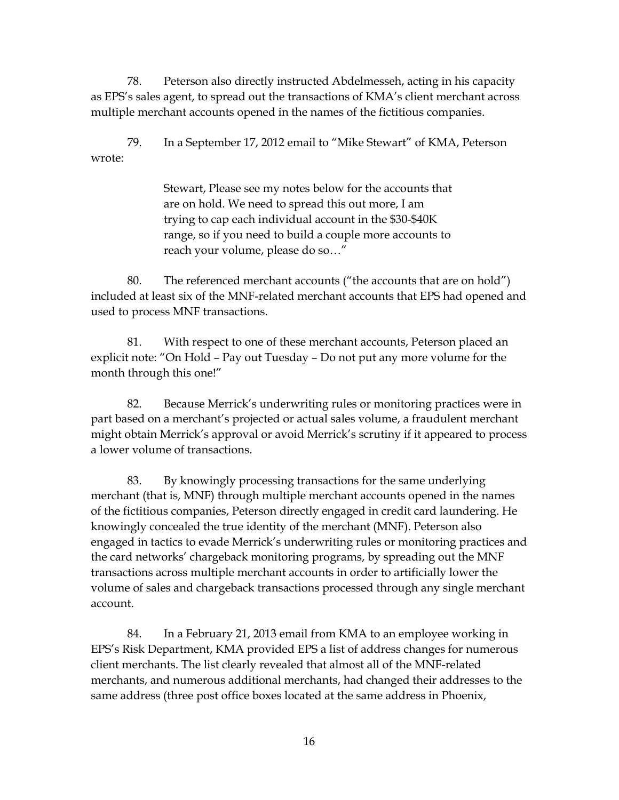multiple merchant accounts opened in the names of the fictitious companies. 78. Peterson also directly instructed Abdelmesseh, acting in his capacity as EPS's sales agent, to spread out the transactions of KMA's client merchant across

79. In a September 17, 2012 email to "Mike Stewart" of KMA, Peterson wrote:

> are on hold. We need to spread this out more, I am range, so if you need to build a couple more accounts to reach your volume, please do so..." Stewart, Please see my notes below for the accounts that trying to cap each individual account in the \$30-\$40K

 included at least six of the MNF-related merchant accounts that EPS had opened and 80. The referenced merchant accounts ("the accounts that are on hold") used to process MNF transactions.

 81. With respect to one of these merchant accounts, Peterson placed an explicit note: "On Hold – Pay out Tuesday – Do not put any more volume for the month through this one!"

 part based on a merchant's projected or actual sales volume, a fraudulent merchant a lower volume of transactions. 82. Because Merrick's underwriting rules or monitoring practices were in might obtain Merrick's approval or avoid Merrick's scrutiny if it appeared to process

 knowingly concealed the true identity of the merchant (MNF). Peterson also the card networks' chargeback monitoring programs, by spreading out the MNF volume of sales and chargeback transactions processed through any single merchant 83. By knowingly processing transactions for the same underlying merchant (that is, MNF) through multiple merchant accounts opened in the names of the fictitious companies, Peterson directly engaged in credit card laundering. He engaged in tactics to evade Merrick's underwriting rules or monitoring practices and transactions across multiple merchant accounts in order to artificially lower the account.

 84. In a February 21, 2013 email from KMA to an employee working in client merchants. The list clearly revealed that almost all of the MNF-related EPS's Risk Department, KMA provided EPS a list of address changes for numerous merchants, and numerous additional merchants, had changed their addresses to the same address (three post office boxes located at the same address in Phoenix,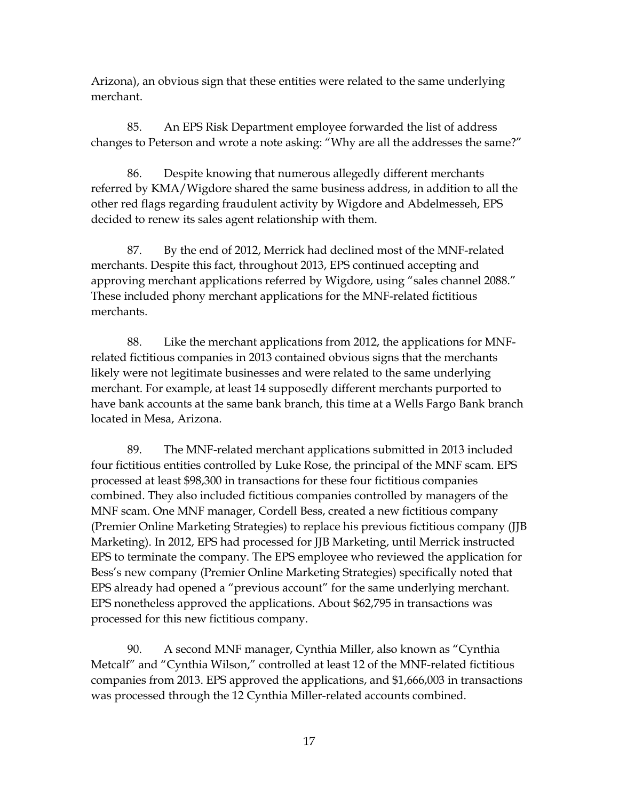merchant. Arizona), an obvious sign that these entities were related to the same underlying

 merchant. 85. An EPS Risk Department employee forwarded the list of address changes to Peterson and wrote a note asking: "Why are all the addresses the same?"

decided to renew its sales agent relationship with them. 86. Despite knowing that numerous allegedly different merchants referred by KMA/Wigdore shared the same business address, in addition to all the other red flags regarding fraudulent activity by Wigdore and Abdelmesseh, EPS

decided to renew its sales agent relationship with them.<br>87. By the end of 2012, Merrick had declined most of the MNF-related These included phony merchant applications for the MNF-related fictitious merchants. merchants. Despite this fact, throughout 2013, EPS continued accepting and approving merchant applications referred by Wigdore, using "sales channel 2088."

 merchants. 88. Like the merchant applications from 2012, the applications for MNF- related fictitious companies in 2013 contained obvious signs that the merchants have bank accounts at the same bank branch, this time at a Wells Fargo Bank branch likely were not legitimate businesses and were related to the same underlying merchant. For example, at least 14 supposedly different merchants purported to located in Mesa, Arizona.

 MNF scam. One MNF manager, Cordell Bess, created a new fictitious company Bess's new company (Premier Online Marketing Strategies) specifically noted that 89. The MNF-related merchant applications submitted in 2013 included four fictitious entities controlled by Luke Rose, the principal of the MNF scam. EPS processed at least \$98,300 in transactions for these four fictitious companies combined. They also included fictitious companies controlled by managers of the (Premier Online Marketing Strategies) to replace his previous fictitious company (JJB Marketing). In 2012, EPS had processed for JJB Marketing, until Merrick instructed EPS to terminate the company. The EPS employee who reviewed the application for EPS already had opened a "previous account" for the same underlying merchant. EPS nonetheless approved the applications. About \$62,795 in transactions was processed for this new fictitious company.

 companies from 2013. EPS approved the applications, and \$1,666,003 in transactions was processed through the 12 Cynthia Miller-related accounts combined. 90. A second MNF manager, Cynthia Miller, also known as "Cynthia Metcalf" and "Cynthia Wilson," controlled at least 12 of the MNF-related fictitious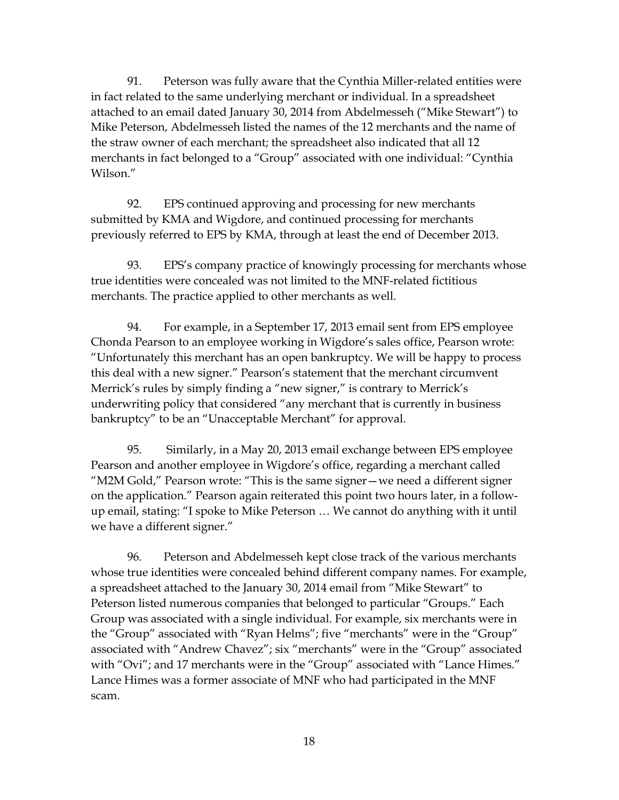91. Peterson was fully aware that the Cynthia Miller-related entities were Mike Peterson, Abdelmesseh listed the names of the 12 merchants and the name of the straw owner of each merchant; the spreadsheet also indicated that all 12 merchants in fact belonged to a "Group" associated with one individual: "Cynthia in fact related to the same underlying merchant or individual. In a spreadsheet attached to an email dated January 30, 2014 from Abdelmesseh ("Mike Stewart") to

Wilson."<br>92. EPS continued approving and processing for new merchants previously referred to EPS by KMA, through at least the end of December 2013. submitted by KMA and Wigdore, and continued processing for merchants

 true identities were concealed was not limited to the MNF-related fictitious merchants. The practice applied to other merchants as well. 93. EPS's company practice of knowingly processing for merchants whose

 Chonda Pearson to an employee working in Wigdore's sales office, Pearson wrote: "Unfortunately this merchant has an open bankruptcy. We will be happy to process this deal with a new signer." Pearson's statement that the merchant circumvent 94. For example, in a September 17, 2013 email sent from EPS employee Merrick's rules by simply finding a "new signer," is contrary to Merrick's underwriting policy that considered "any merchant that is currently in business bankruptcy" to be an "Unacceptable Merchant" for approval.

 on the application." Pearson again reiterated this point two hours later, in a follow-95. Similarly, in a May 20, 2013 email exchange between EPS employee Pearson and another employee in Wigdore's office, regarding a merchant called "M2M Gold," Pearson wrote: "This is the same signer—we need a different signer up email, stating: "I spoke to Mike Peterson … We cannot do anything with it until we have a different signer."

 96. Peterson and Abdelmesseh kept close track of the various merchants whose true identities were concealed behind different company names. For example, Group was associated with a single individual. For example, six merchants were in associated with "Andrew Chavez"; six "merchants" were in the "Group" associated with "Ovi"; and 17 merchants were in the "Group" associated with "Lance Himes." a spreadsheet attached to the January 30, 2014 email from "Mike Stewart" to Peterson listed numerous companies that belonged to particular "Groups." Each the "Group" associated with "Ryan Helms"; five "merchants" were in the "Group" Lance Himes was a former associate of MNF who had participated in the MNF scam.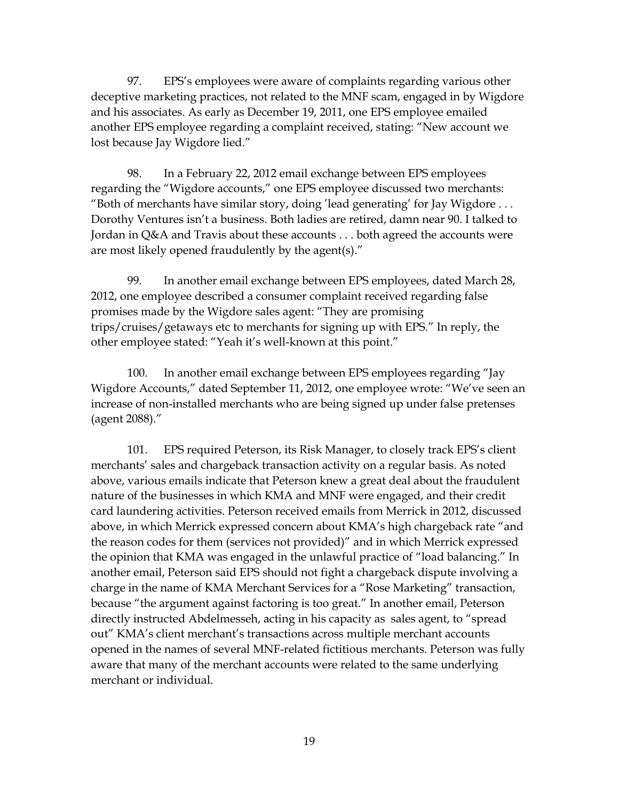deceptive marketing practices, not related to the MNF scam, engaged in by Wigdore and his associates. As early as December 19, 2011, one EPS employee emailed another EPS employee regarding a complaint received, stating: "New account we 97. EPS's employees were aware of complaints regarding various other lost because Jay Wigdore lied."

 "Both of merchants have similar story, doing 'lead generating' for Jay Wigdore . . . Dorothy Ventures isn't a business. Both ladies are retired, damn near 90. I talked to 98. In a February 22, 2012 email exchange between EPS employees regarding the "Wigdore accounts," one EPS employee discussed two merchants: Jordan in Q&A and Travis about these accounts . . . both agreed the accounts were are most likely opened fraudulently by the agent(s)."

 2012, one employee described a consumer complaint received regarding false trips/cruises/getaways etc to merchants for signing up with EPS." In reply, the 99. In another email exchange between EPS employees, dated March 28, promises made by the Wigdore sales agent: "They are promising other employee stated: "Yeah it's well-known at this point."

100. In another email exchange between EPS employees regarding "Jay Wigdore Accounts," dated September 11, 2012, one employee wrote: "We've seen an increase of non-installed merchants who are being signed up under false pretenses (agent 2088)."

 101. EPS required Peterson, its Risk Manager, to closely track EPS's client nature of the businesses in which KMA and MNF were engaged, and their credit another email, Peterson said EPS should not fight a chargeback dispute involving a directly instructed Abdelmesseh, acting in his capacity as sales agent, to "spread out" KMA's client merchant's transactions across multiple merchant accounts opened in the names of several MNF-related fictitious merchants. Peterson was fully aware that many of the merchant accounts were related to the same underlying merchants' sales and chargeback transaction activity on a regular basis. As noted above, various emails indicate that Peterson knew a great deal about the fraudulent card laundering activities. Peterson received emails from Merrick in 2012, discussed above, in which Merrick expressed concern about KMA's high chargeback rate "and the reason codes for them (services not provided)" and in which Merrick expressed the opinion that KMA was engaged in the unlawful practice of "load balancing." In charge in the name of KMA Merchant Services for a "Rose Marketing" transaction, because "the argument against factoring is too great." In another email, Peterson merchant or individual.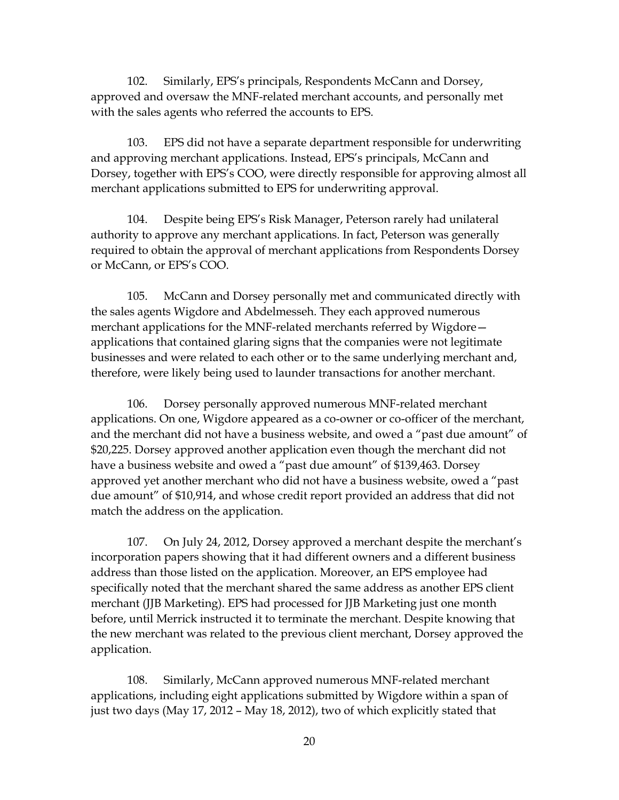approved and oversaw the MNF-related merchant accounts, and personally met with the sales agents who referred the accounts to EPS. 102. Similarly, EPS's principals, Respondents McCann and Dorsey,

 merchant applications submitted to EPS for underwriting approval. 103. EPS did not have a separate department responsible for underwriting and approving merchant applications. Instead, EPS's principals, McCann and Dorsey, together with EPS's COO, were directly responsible for approving almost all

104. Despite being EPS's Risk Manager, Peterson rarely had unilateral authority to approve any merchant applications. In fact, Peterson was generally required to obtain the approval of merchant applications from Respondents Dorsey or McCann, or EPS's COO.

 the sales agents Wigdore and Abdelmesseh. They each approved numerous applications that contained glaring signs that the companies were not legitimate businesses and were related to each other or to the same underlying merchant and, 105. McCann and Dorsey personally met and communicated directly with merchant applications for the MNF-related merchants referred by Wigdore therefore, were likely being used to launder transactions for another merchant.

 and the merchant did not have a business website, and owed a "past due amount" of \$20,225. Dorsey approved another application even though the merchant did not approved yet another merchant who did not have a business website, owed a "past due amount" of \$10,914, and whose credit report provided an address that did not 106. Dorsey personally approved numerous MNF-related merchant applications. On one, Wigdore appeared as a co-owner or co-officer of the merchant, have a business website and owed a "past due amount" of \$139,463. Dorsey match the address on the application.

 incorporation papers showing that it had different owners and a different business specifically noted that the merchant shared the same address as another EPS client before, until Merrick instructed it to terminate the merchant. Despite knowing that the new merchant was related to the previous client merchant, Dorsey approved the 107. On July 24, 2012, Dorsey approved a merchant despite the merchant's address than those listed on the application. Moreover, an EPS employee had merchant (JJB Marketing). EPS had processed for JJB Marketing just one month application.

 just two days (May 17, 2012 – May 18, 2012), two of which explicitly stated that 108. Similarly, McCann approved numerous MNF-related merchant applications, including eight applications submitted by Wigdore within a span of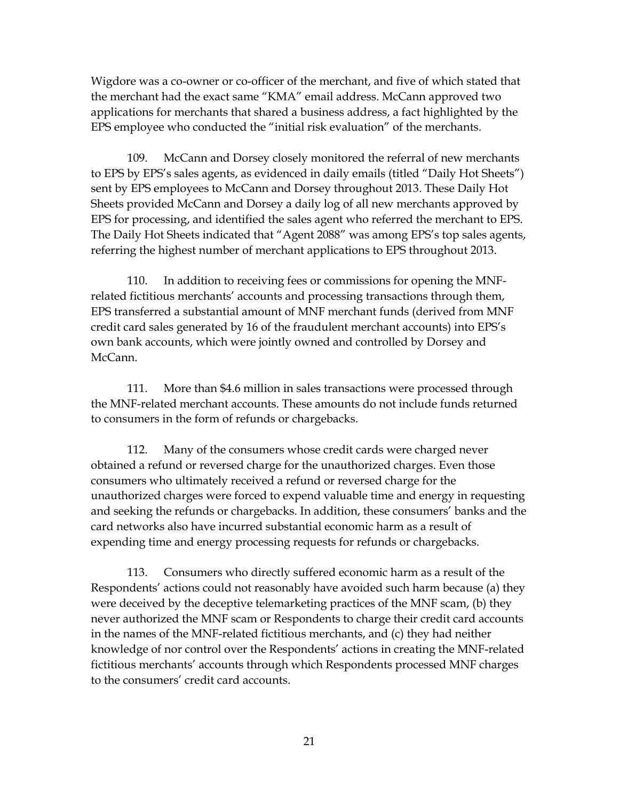applications for merchants that shared a business address, a fact highlighted by the EPS employee who conducted the "initial risk evaluation" of the merchants. Wigdore was a co-owner or co-officer of the merchant, and five of which stated that the merchant had the exact same "KMA" email address. McCann approved two

 EPS for processing, and identified the sales agent who referred the merchant to EPS. The Daily Hot Sheets indicated that "Agent 2088" was among EPS's top sales agents, referring the highest number of merchant applications to EPS throughout 2013. 109. McCann and Dorsey closely monitored the referral of new merchants to EPS by EPS's sales agents, as evidenced in daily emails (titled "Daily Hot Sheets") sent by EPS employees to McCann and Dorsey throughout 2013. These Daily Hot Sheets provided McCann and Dorsey a daily log of all new merchants approved by

 credit card sales generated by 16 of the fraudulent merchant accounts) into EPS's 110. In addition to receiving fees or commissions for opening the MNFrelated fictitious merchants' accounts and processing transactions through them, EPS transferred a substantial amount of MNF merchant funds (derived from MNF own bank accounts, which were jointly owned and controlled by Dorsey and McCann.

111. More than \$4.6 million in sales transactions were processed through the MNF-related merchant accounts. These amounts do not include funds returned to consumers in the form of refunds or chargebacks.

 obtained a refund or reversed charge for the unauthorized charges. Even those consumers who ultimately received a refund or reversed charge for the unauthorized charges were forced to expend valuable time and energy in requesting and seeking the refunds or chargebacks. In addition, these consumers' banks and the card networks also have incurred substantial economic harm as a result of 112. Many of the consumers whose credit cards were charged never expending time and energy processing requests for refunds or chargebacks.

 113. Consumers who directly suffered economic harm as a result of the Respondents' actions could not reasonably have avoided such harm because (a) they were deceived by the deceptive telemarketing practices of the MNF scam, (b) they never authorized the MNF scam or Respondents to charge their credit card accounts in the names of the MNF-related fictitious merchants, and (c) they had neither knowledge of nor control over the Respondents' actions in creating the MNF-related fictitious merchants' accounts through which Respondents processed MNF charges to the consumers' credit card accounts.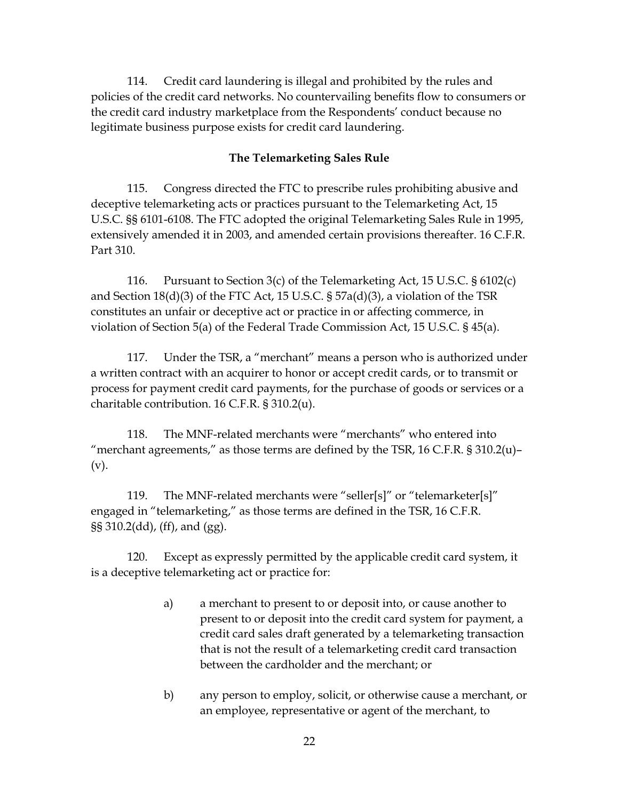114. Credit card laundering is illegal and prohibited by the rules and policies of the credit card networks. No countervailing benefits flow to consumers or the credit card industry marketplace from the Respondents' conduct because no legitimate business purpose exists for credit card laundering.

#### **The Telemarketing Sales Rule**

 115. Congress directed the FTC to prescribe rules prohibiting abusive and extensively amended it in 2003, and amended certain provisions thereafter. 16 C.F.R. deceptive telemarketing acts or practices pursuant to the Telemarketing Act, 15 U.S.C. §§ 6101-6108. The FTC adopted the original Telemarketing Sales Rule in 1995, Part 310.

 and Section 18(d)(3) of the FTC Act, 15 U.S.C. § 57a(d)(3), a violation of the TSR 116. Pursuant to Section 3(c) of the Telemarketing Act, 15 U.S.C. § 6102(c) constitutes an unfair or deceptive act or practice in or affecting commerce, in violation of Section 5(a) of the Federal Trade Commission Act, 15 U.S.C. § 45(a).

 117. Under the TSR, a "merchant" means a person who is authorized under a written contract with an acquirer to honor or accept credit cards, or to transmit or process for payment credit card payments, for the purchase of goods or services or a charitable contribution. 16 C.F.R. § 310.2(u).

 118. The MNF-related merchants were "merchants" who entered into "merchant agreements," as those terms are defined by the TSR,  $16$  C.F.R.  $\S 310.2(u)$ -(v).

 engaged in "telemarketing," as those terms are defined in the TSR, 16 C.F.R. 119. The MNF-related merchants were "seller[s]" or "telemarketer[s]" §§ 310.2(dd), (ff), and (gg).

120. Except as expressly permitted by the applicable credit card system, it is a deceptive telemarketing act or practice for:

- a) a merchant to present to or deposit into, or cause another to credit card sales draft generated by a telemarketing transaction that is not the result of a telemarketing credit card transaction present to or deposit into the credit card system for payment, a between the cardholder and the merchant; or
- b) any person to employ, solicit, or otherwise cause a merchant, or an employee, representative or agent of the merchant, to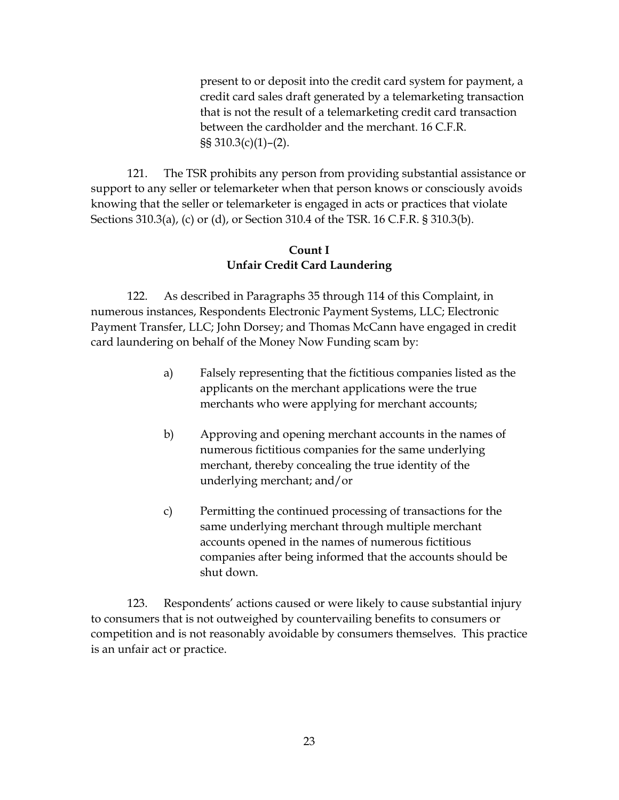credit card sales draft generated by a telemarketing transaction that is not the result of a telemarketing credit card transaction present to or deposit into the credit card system for payment, a between the cardholder and the merchant. 16 C.F.R. §§ 310.3(c)(1)–(2).

 Sections 310.3(a), (c) or (d), or Section 310.4 of the TSR. 16 C.F.R. § 310.3(b). 121. The TSR prohibits any person from providing substantial assistance or support to any seller or telemarketer when that person knows or consciously avoids knowing that the seller or telemarketer is engaged in acts or practices that violate

#### **Count I Unfair Credit Card Laundering**

 122. As described in Paragraphs 35 through 114 of this Complaint, in numerous instances, Respondents Electronic Payment Systems, LLC; Electronic Payment Transfer, LLC; John Dorsey; and Thomas McCann have engaged in credit card laundering on behalf of the Money Now Funding scam by:

- applicants on the merchant applications were the true a) Falsely representing that the fictitious companies listed as the merchants who were applying for merchant accounts;
- b) Approving and opening merchant accounts in the names of numerous fictitious companies for the same underlying merchant, thereby concealing the true identity of the underlying merchant; and/or
- c) Permitting the continued processing of transactions for the accounts opened in the names of numerous fictitious same underlying merchant through multiple merchant companies after being informed that the accounts should be shut down.

 competition and is not reasonably avoidable by consumers themselves. This practice 123. Respondents' actions caused or were likely to cause substantial injury to consumers that is not outweighed by countervailing benefits to consumers or is an unfair act or practice.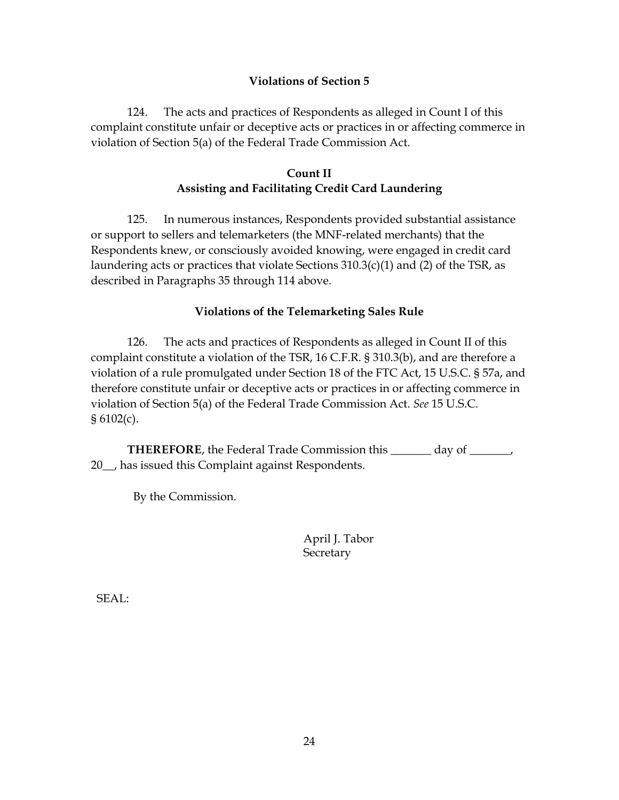### **Violations of Section 5**

 124. The acts and practices of Respondents as alleged in Count I of this complaint constitute unfair or deceptive acts or practices in or affecting commerce in violation of Section 5(a) of the Federal Trade Commission Act.

## **Count II Assisting and Facilitating Credit Card Laundering**

 described in Paragraphs 35 through 114 above. 125. In numerous instances, Respondents provided substantial assistance or support to sellers and telemarketers (the MNF-related merchants) that the Respondents knew, or consciously avoided knowing, were engaged in credit card laundering acts or practices that violate Sections 310.3(c)(1) and (2) of the TSR, as

#### **Violations of the Telemarketing Sales Rule**

 violation of a rule promulgated under Section 18 of the FTC Act, 15 U.S.C. § 57a, and § 6102(c). 126. The acts and practices of Respondents as alleged in Count II of this complaint constitute a violation of the TSR, 16 C.F.R. § 310.3(b), and are therefore a therefore constitute unfair or deceptive acts or practices in or affecting commerce in violation of Section 5(a) of the Federal Trade Commission Act. *See* 15 U.S.C.

**THEREFORE**, the Federal Trade Commission this 10th day of May, 2022, has issued this Complaint against Respondents.

By the Commission.

April J. Tabor **Secretary** 

SEAL: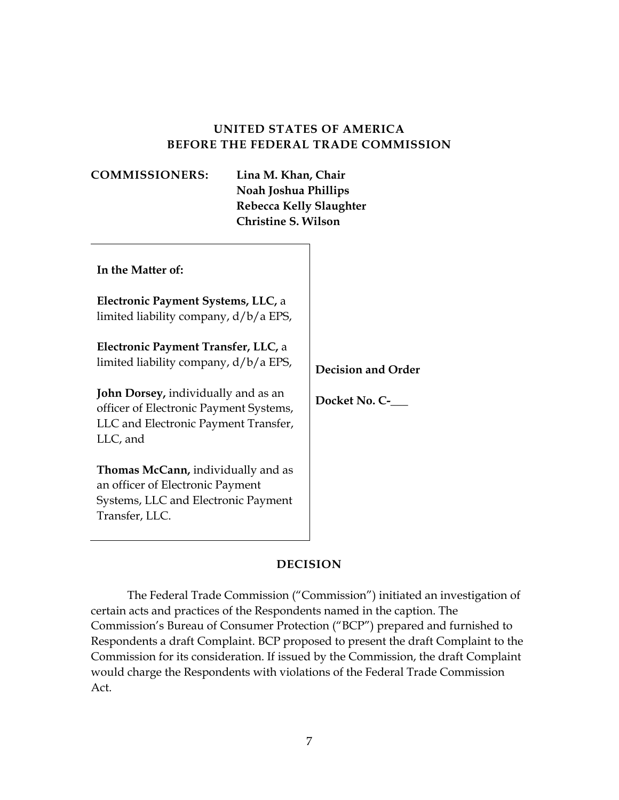## **UNITED STATES OF AMERICA BEFORE THE FEDERAL TRADE COMMISSION**

| <b>COMMISSIONERS:</b>                                                                                                                                                                                                    | Lina M. Khan, Chair<br>Noah Joshua Phillips<br><b>Rebecca Kelly Slaughter</b><br><b>Christine S. Wilson</b> |                                                |
|--------------------------------------------------------------------------------------------------------------------------------------------------------------------------------------------------------------------------|-------------------------------------------------------------------------------------------------------------|------------------------------------------------|
| In the Matter of:<br>Electronic Payment Systems, LLC, a<br>limited liability company, d/b/a EPS,                                                                                                                         |                                                                                                             |                                                |
| Electronic Payment Transfer, LLC, a<br>limited liability company, d/b/a EPS,<br><b>John Dorsey, individually and as an</b><br>officer of Electronic Payment Systems,<br>LLC and Electronic Payment Transfer,<br>LLC, and |                                                                                                             | <b>Decision and Order</b><br>Docket No. C-4764 |
| <b>Thomas McCann, individually and as</b><br>an officer of Electronic Payment<br>Systems, LLC and Electronic Payment<br>Transfer, LLC.                                                                                   |                                                                                                             |                                                |

#### **DECISION**

 certain acts and practices of the Respondents named in the caption. The Respondents a draft Complaint. BCP proposed to present the draft Complaint to the The Federal Trade Commission ("Commission") initiated an investigation of Commission's Bureau of Consumer Protection ("BCP") prepared and furnished to Commission for its consideration. If issued by the Commission, the draft Complaint would charge the Respondents with violations of the Federal Trade Commission Act.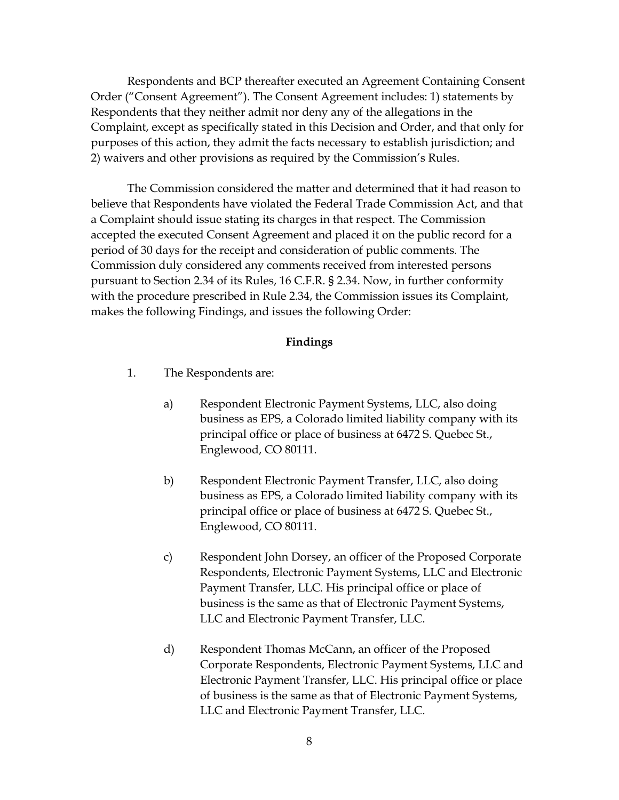Order ("Consent Agreement"). The Consent Agreement includes: 1) statements by Respondents that they neither admit nor deny any of the allegations in the purposes of this action, they admit the facts necessary to establish jurisdiction; and Respondents and BCP thereafter executed an Agreement Containing Consent Complaint, except as specifically stated in this Decision and Order, and that only for 2) waivers and other provisions as required by the Commission's Rules.

 The Commission considered the matter and determined that it had reason to Commission duly considered any comments received from interested persons pursuant to Section 2.34 of its Rules, 16 C.F.R. § 2.34. Now, in further conformity with the procedure prescribed in Rule 2.34, the Commission issues its Complaint, believe that Respondents have violated the Federal Trade Commission Act, and that a Complaint should issue stating its charges in that respect. The Commission accepted the executed Consent Agreement and placed it on the public record for a period of 30 days for the receipt and consideration of public comments. The makes the following Findings, and issues the following Order:

#### **Findings**

- 1. The Respondents are:
	- a) Respondent Electronic Payment Systems, LLC, also doing business as EPS, a Colorado limited liability company with its principal office or place of business at 6472 S. Quebec St., Englewood, CO 80111.
	- b) Respondent Electronic Payment Transfer, LLC, also doing business as EPS, a Colorado limited liability company with its principal office or place of business at 6472 S. Quebec St., Englewood, CO 80111.
	- Payment Transfer, LLC. His principal office or place of business is the same as that of Electronic Payment Systems, LLC and Electronic Payment Transfer, LLC. c) Respondent John Dorsey, an officer of the Proposed Corporate Respondents, Electronic Payment Systems, LLC and Electronic
	- of business is the same as that of Electronic Payment Systems, LLC and Electronic Payment Transfer, LLC. d) Respondent Thomas McCann, an officer of the Proposed Corporate Respondents, Electronic Payment Systems, LLC and Electronic Payment Transfer, LLC. His principal office or place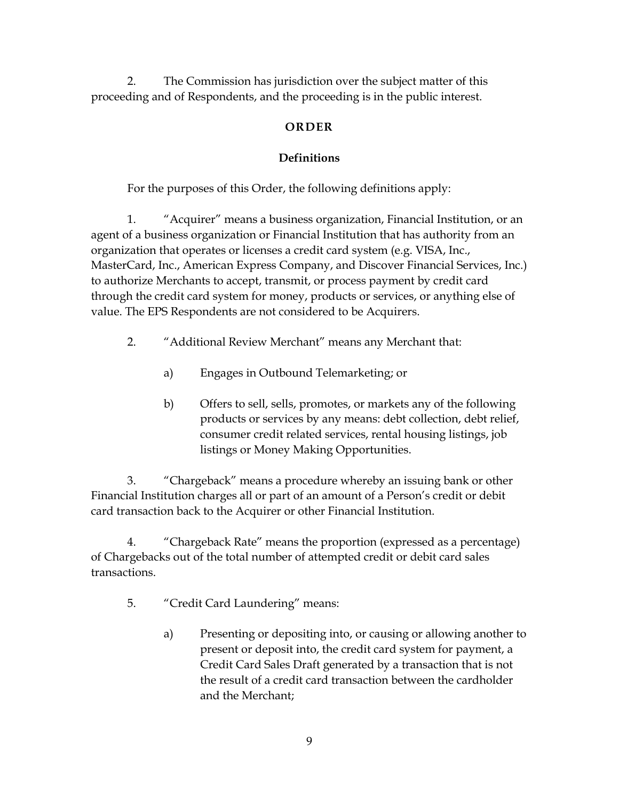2. The Commission has jurisdiction over the subject matter of this proceeding and of Respondents, and the proceeding is in the public interest.

## **ORDER**

# **Definitions**

For the purposes of this Order, the following definitions apply:

 organization that operates or licenses a credit card system (e.g. VISA, Inc., through the credit card system for money, products or services, or anything else of 1. "Acquirer" means a business organization, Financial Institution, or an agent of a business organization or Financial Institution that has authority from an MasterCard, Inc., American Express Company, and Discover Financial Services, Inc.) to authorize Merchants to accept, transmit, or process payment by credit card value. The EPS Respondents are not considered to be Acquirers.

- 2. "Additional Review Merchant" means any Merchant that:
	- a) Engages in Outbound Telemarketing; or
	- b) Offers to sell, sells, promotes, or markets any of the following products or services by any means: debt collection, debt relief, consumer credit related services, rental housing listings, job listings or Money Making Opportunities.

 3. "Chargeback" means a procedure whereby an issuing bank or other Financial Institution charges all or part of an amount of a Person's credit or debit card transaction back to the Acquirer or other Financial Institution.

 of Chargebacks out of the total number of attempted credit or debit card sales 4. "Chargeback Rate" means the proportion (expressed as a percentage) transactions.

- 5. "Credit Card Laundering" means:
	- Credit Card Sales Draft generated by a transaction that is not a) Presenting or depositing into, or causing or allowing another to present or deposit into, the credit card system for payment, a the result of a credit card transaction between the cardholder and the Merchant;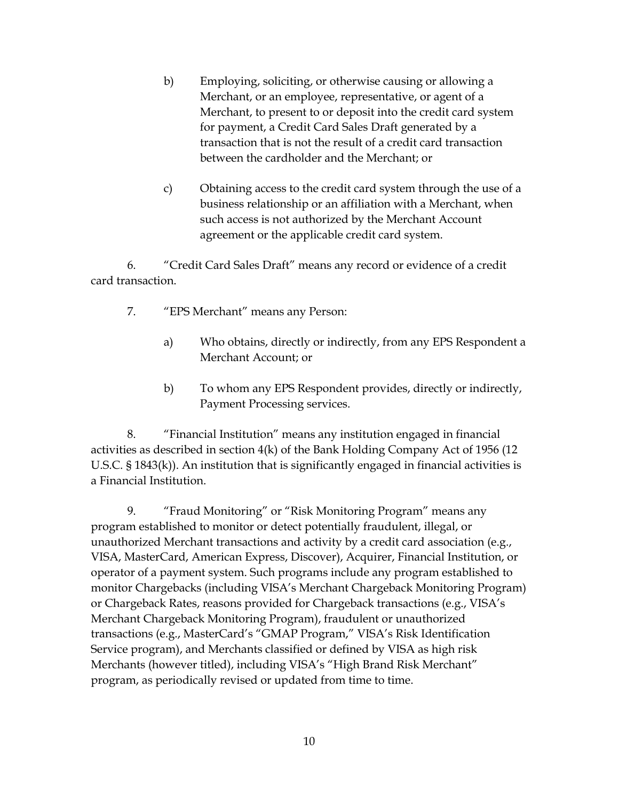- transaction that is not the result of a credit card transaction between the cardholder and the Merchant; or b) Employing, soliciting, or otherwise causing or allowing a Merchant, or an employee, representative, or agent of a Merchant, to present to or deposit into the credit card system for payment, a Credit Card Sales Draft generated by a
- c) Obtaining access to the credit card system through the use of a such access is not authorized by the Merchant Account business relationship or an affiliation with a Merchant, when agreement or the applicable credit card system.

 6. "Credit Card Sales Draft" means any record or evidence of a credit card transaction.

- 7. "EPS Merchant" means any Person:
	- a) Who obtains, directly or indirectly, from any EPS Respondent a Merchant Account; or
	- b) To whom any EPS Respondent provides, directly or indirectly, Payment Processing services.

8. "Financial Institution" means any institution engaged in financial activities as described in section 4(k) of the Bank Holding Company Act of 1956 (12 U.S.C. § 1843(k)). An institution that is significantly engaged in financial activities is a Financial Institution.

 operator of a payment system. Such programs include any program established to Service program), and Merchants classified or defined by VISA as high risk program, as periodically revised or updated from time to time. 9. "Fraud Monitoring" or "Risk Monitoring Program" means any program established to monitor or detect potentially fraudulent, illegal, or unauthorized Merchant transactions and activity by a credit card association (e.g., VISA, MasterCard, American Express, Discover), Acquirer, Financial Institution, or monitor Chargebacks (including VISA's Merchant Chargeback Monitoring Program) or Chargeback Rates, reasons provided for Chargeback transactions (e.g., VISA's Merchant Chargeback Monitoring Program), fraudulent or unauthorized transactions (e.g., MasterCard's "GMAP Program," VISA's Risk Identification Merchants (however titled), including VISA's "High Brand Risk Merchant"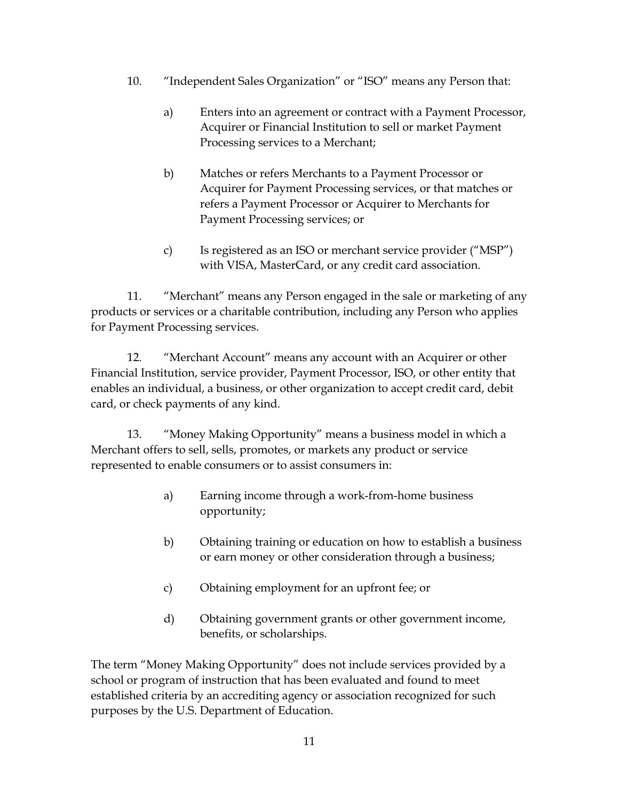- 10. "Independent Sales Organization" or "ISO" means any Person that:
	- a) Enters into an agreement or contract with a Payment Processor, Acquirer or Financial Institution to sell or market Payment Processing services to a Merchant;
	- Acquirer for Payment Processing services, or that matches or b) Matches or refers Merchants to a Payment Processor or refers a Payment Processor or Acquirer to Merchants for Payment Processing services; or
	- c) Is registered as an ISO or merchant service provider ("MSP") with VISA, MasterCard, or any credit card association.

11. "Merchant" means any Person engaged in the sale or marketing of any products or services or a charitable contribution, including any Person who applies for Payment Processing services.

 12. "Merchant Account" means any account with an Acquirer or other enables an individual, a business, or other organization to accept credit card, debit Financial Institution, service provider, Payment Processor, ISO, or other entity that card, or check payments of any kind.

13. "Money Making Opportunity" means a business model in which a Merchant offers to sell, sells, promotes, or markets any product or service represented to enable consumers or to assist consumers in:

- a) Earning income through a work-from-home business opportunity;
- b) Obtaining training or education on how to establish a business or earn money or other consideration through a business;
- c) Obtaining employment for an upfront fee; or
- d) Obtaining government grants or other government income, benefits, or scholarships.

The term "Money Making Opportunity" does not include services provided by a school or program of instruction that has been evaluated and found to meet established criteria by an accrediting agency or association recognized for such purposes by the U.S. Department of Education.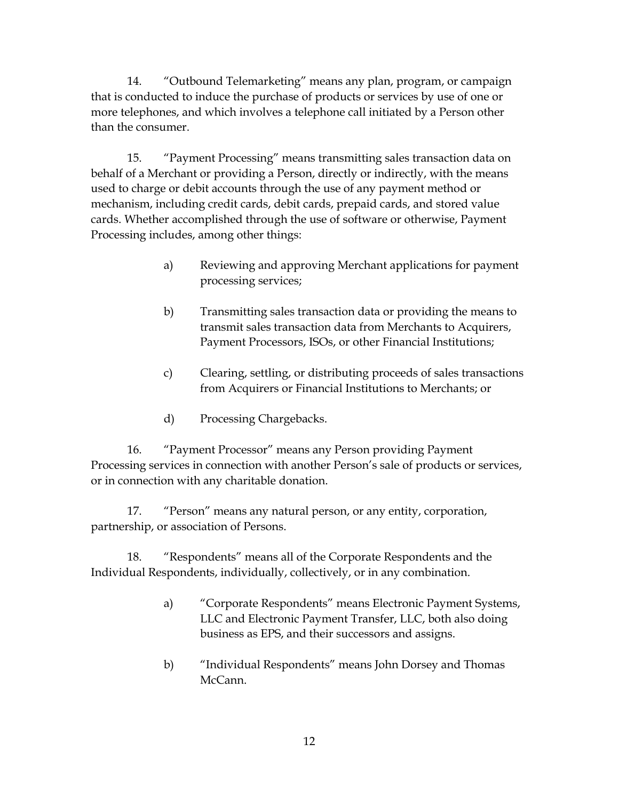14. "Outbound Telemarketing" means any plan, program, or campaign that is conducted to induce the purchase of products or services by use of one or more telephones, and which involves a telephone call initiated by a Person other than the consumer.

 behalf of a Merchant or providing a Person, directly or indirectly, with the means used to charge or debit accounts through the use of any payment method or 15. "Payment Processing" means transmitting sales transaction data on mechanism, including credit cards, debit cards, prepaid cards, and stored value cards. Whether accomplished through the use of software or otherwise, Payment Processing includes, among other things:

- a) Reviewing and approving Merchant applications for payment processing services;
- b) Transmitting sales transaction data or providing the means to transmit sales transaction data from Merchants to Acquirers, Payment Processors, ISOs, or other Financial Institutions;
- c) Clearing, settling, or distributing proceeds of sales transactions from Acquirers or Financial Institutions to Merchants; or
- d) Processing Chargebacks.

16. "Payment Processor" means any Person providing Payment Processing services in connection with another Person's sale of products or services, or in connection with any charitable donation.

17. "Person" means any natural person, or any entity, corporation, partnership, or association of Persons.

18. "Respondents" means all of the Corporate Respondents and the Individual Respondents, individually, collectively, or in any combination.

- a) "Corporate Respondents" means Electronic Payment Systems, business as EPS, and their successors and assigns. LLC and Electronic Payment Transfer, LLC, both also doing
- b) "Individual Respondents" means John Dorsey and Thomas McCann.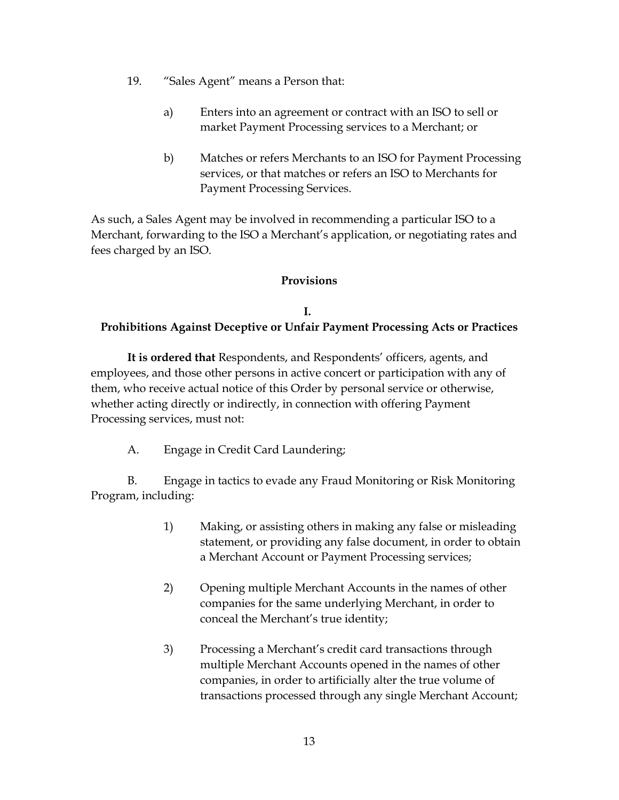- 19. "Sales Agent" means a Person that:
	- a) Enters into an agreement or contract with an ISO to sell or market Payment Processing services to a Merchant; or
	- b) Matches or refers Merchants to an ISO for Payment Processing services, or that matches or refers an ISO to Merchants for Payment Processing Services.

 fees charged by an ISO. As such, a Sales Agent may be involved in recommending a particular ISO to a Merchant, forwarding to the ISO a Merchant's application, or negotiating rates and

#### **Provisions**

## **I. Prohibitions Against Deceptive or Unfair Payment Processing Acts or Practices**

 **It is ordered that** Respondents, and Respondents' officers, agents, and them, who receive actual notice of this Order by personal service or otherwise, employees, and those other persons in active concert or participation with any of whether acting directly or indirectly, in connection with offering Payment Processing services, must not:

A. Engage in Credit Card Laundering;

B. Engage in tactics to evade any Fraud Monitoring or Risk Monitoring Program, including:

- statement, or providing any false document, in order to obtain 1) Making, or assisting others in making any false or misleading a Merchant Account or Payment Processing services;
- 2) Opening multiple Merchant Accounts in the names of other companies for the same underlying Merchant, in order to conceal the Merchant's true identity;
- multiple Merchant Accounts opened in the names of other 3) Processing a Merchant's credit card transactions through companies, in order to artificially alter the true volume of transactions processed through any single Merchant Account;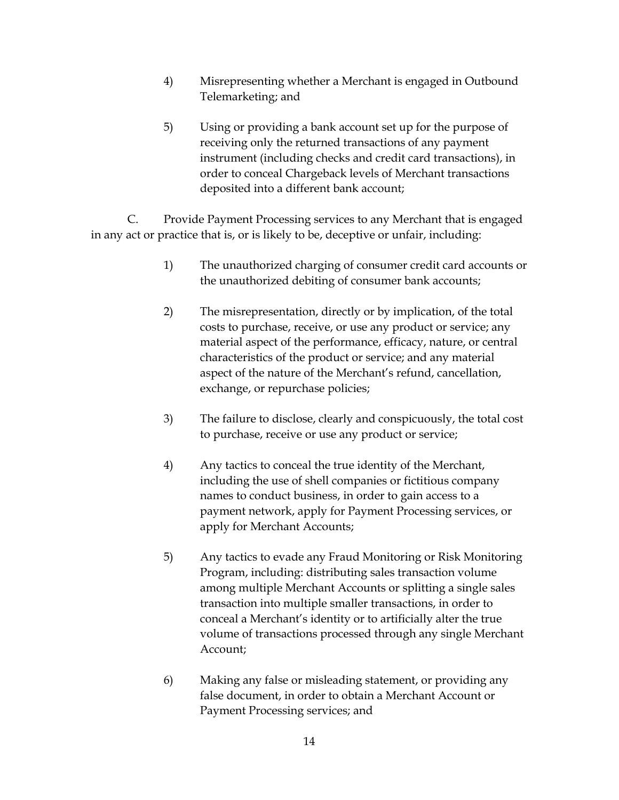- Telemarketing; and 4) Misrepresenting whether a Merchant is engaged in Outbound
- 5) Using or providing a bank account set up for the purpose of instrument (including checks and credit card transactions), in receiving only the returned transactions of any payment order to conceal Chargeback levels of Merchant transactions deposited into a different bank account;

C. Provide Payment Processing services to any Merchant that is engaged in any act or practice that is, or is likely to be, deceptive or unfair, including:

- the unauthorized debiting of consumer bank accounts; 1) The unauthorized charging of consumer credit card accounts or
- material aspect of the performance, efficacy, nature, or central 2) The misrepresentation, directly or by implication, of the total costs to purchase, receive, or use any product or service; any characteristics of the product or service; and any material aspect of the nature of the Merchant's refund, cancellation, exchange, or repurchase policies;
- to purchase, receive or use any product or service; 3) The failure to disclose, clearly and conspicuously, the total cost
- 4) Any tactics to conceal the true identity of the Merchant, including the use of shell companies or fictitious company names to conduct business, in order to gain access to a payment network, apply for Payment Processing services, or apply for Merchant Accounts;
- conceal a Merchant's identity or to artificially alter the true volume of transactions processed through any single Merchant 5) Any tactics to evade any Fraud Monitoring or Risk Monitoring Program, including: distributing sales transaction volume among multiple Merchant Accounts or splitting a single sales transaction into multiple smaller transactions, in order to Account;
- Payment Processing services; and 6) Making any false or misleading statement, or providing any false document, in order to obtain a Merchant Account or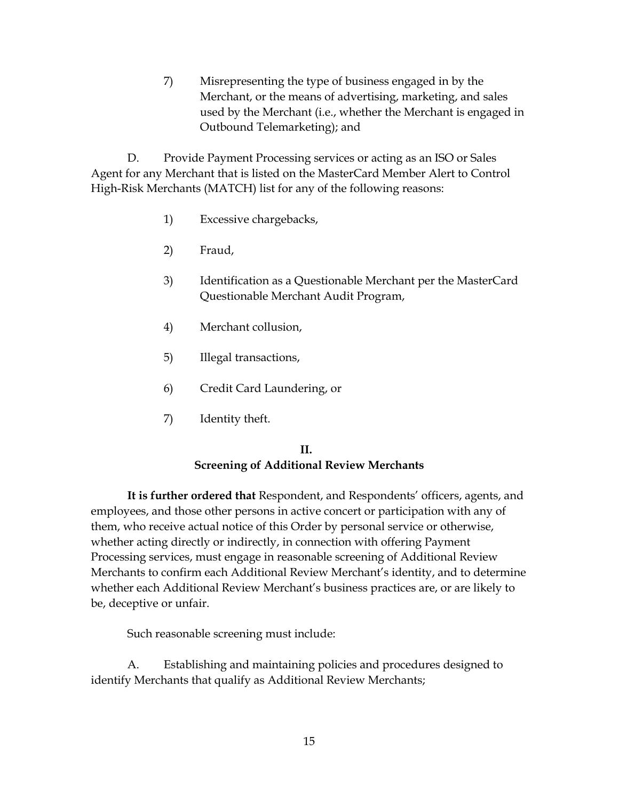7) Misrepresenting the type of business engaged in by the Merchant, or the means of advertising, marketing, and sales used by the Merchant (i.e., whether the Merchant is engaged in Outbound Telemarketing); and

 D. Provide Payment Processing services or acting as an ISO or Sales Agent for any Merchant that is listed on the MasterCard Member Alert to Control High-Risk Merchants (MATCH) list for any of the following reasons:

- 1) Excessive chargebacks,
- 2) Fraud,
- 3) Identification as a Questionable Merchant per the MasterCard Questionable Merchant Audit Program,
- 4) Merchant collusion,
- 5) Illegal transactions,
- 6) Credit Card Laundering, or
- 7) Identity theft.

#### **II. Screening of Additional Review Merchants**

 **It is further ordered that** Respondent, and Respondents' officers, agents, and them, who receive actual notice of this Order by personal service or otherwise, whether each Additional Review Merchant's business practices are, or are likely to be, deceptive or unfair. employees, and those other persons in active concert or participation with any of whether acting directly or indirectly, in connection with offering Payment Processing services, must engage in reasonable screening of Additional Review Merchants to confirm each Additional Review Merchant's identity, and to determine

Such reasonable screening must include:

<span id="page-32-0"></span> identify Merchants that qualify as Additional Review Merchants; A. Establishing and maintaining policies and procedures designed to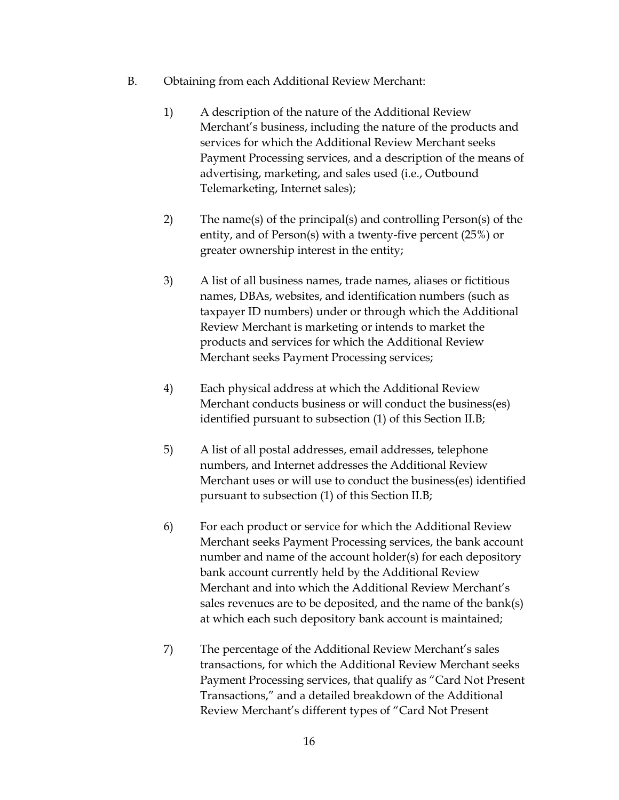- B. Obtaining from each Additional Review Merchant:
	- 1) A description of the nature of the Additional Review Merchant's business, including the nature of the products and services for which the Additional Review Merchant seeks Payment Processing services, and a description of the means of advertising, marketing, and sales used (i.e., Outbound Telemarketing, Internet sales);
	- entity, and of Person(s) with a twenty-five percent (25%) or 2) The name(s) of the principal(s) and controlling Person(s) of the greater ownership interest in the entity;
	- names, DBAs, websites, and identification numbers (such as Review Merchant is marketing or intends to market the 3) A list of all business names, trade names, aliases or fictitious taxpayer ID numbers) under or through which the Additional products and services for which the Additional Review Merchant seeks Payment Processing services;
	- Merchant conducts business or will conduct the business(es) identified pursuant to subsection (1) of this Section II.B; 4) Each physical address at which the Additional Review
	- pursuant to subsection (1) of this Section II.B; 5) A list of all postal addresses, email addresses, telephone numbers, and Internet addresses the Additional Review Merchant uses or will use to conduct the business(es) identified
	- Merchant seeks Payment Processing services, the bank account 6) For each product or service for which the Additional Review number and name of the account holder(s) for each depository bank account currently held by the Additional Review Merchant and into which the Additional Review Merchant's sales revenues are to be deposited, and the name of the bank(s)
	- at which each such depository bank account is maintained; 7) The percentage of the Additional Review Merchant's sales transactions, for which the Additional Review Merchant seeks Review Merchant's different types of "Card Not Present Payment Processing services, that qualify as "Card Not Present Transactions," and a detailed breakdown of the Additional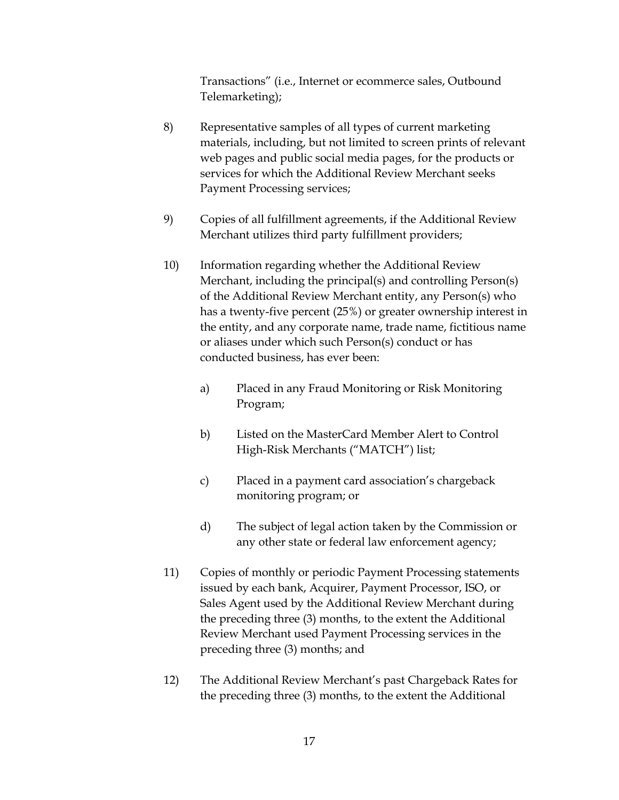Transactions" (i.e., Internet or ecommerce sales, Outbound Telemarketing);

- materials, including, but not limited to screen prints of relevant web pages and public social media pages, for the products or 8) Representative samples of all types of current marketing services for which the Additional Review Merchant seeks Payment Processing services;
- 9) Copies of all fulfillment agreements, if the Additional Review Merchant utilizes third party fulfillment providers;
- has a twenty-five percent (25%) or greater ownership interest in conducted business, has ever been: 10) Information regarding whether the Additional Review Merchant, including the principal(s) and controlling Person(s) of the Additional Review Merchant entity, any Person(s) who the entity, and any corporate name, trade name, fictitious name or aliases under which such Person(s) conduct or has
	- Program; a) Placed in any Fraud Monitoring or Risk Monitoring
	- Program; b) Listed on the MasterCard Member Alert to Control High-Risk Merchants ("MATCH") list;
	- c) Placed in a payment card association's chargeback monitoring program; or
	- d) The subject of legal action taken by the Commission or any other state or federal law enforcement agency;
- preceding three (3) months; and 11) Copies of monthly or periodic Payment Processing statements issued by each bank, Acquirer, Payment Processor, ISO, or Sales Agent used by the Additional Review Merchant during the preceding three (3) months, to the extent the Additional Review Merchant used Payment Processing services in the
- 12) The Additional Review Merchant's past Chargeback Rates for the preceding three (3) months, to the extent the Additional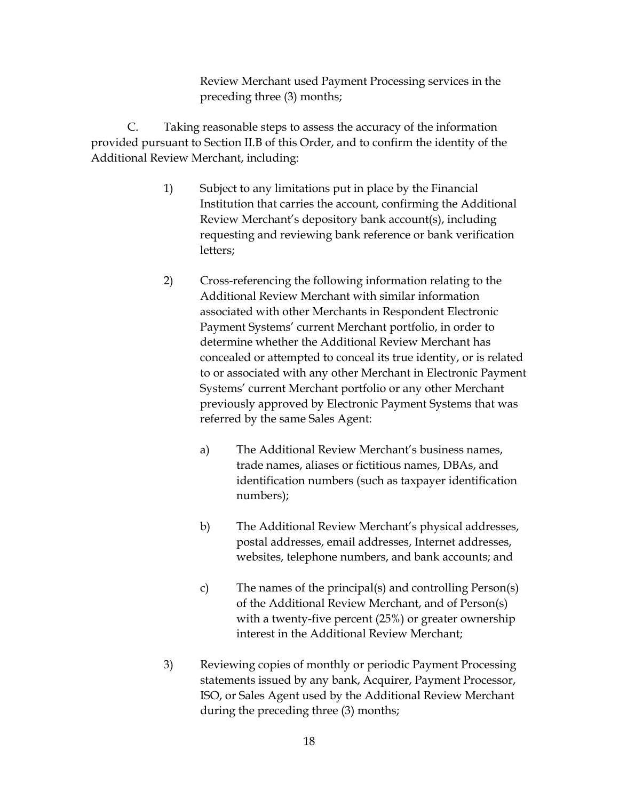Review Merchant used Payment Processing services in the preceding three (3) months;

<span id="page-35-0"></span>Additional Review Merchant, including: C. Taking reasonable steps to assess the accuracy of the information provided pursuant to Section II.B of this Order, and to confirm the identity of the

- 1) Subject to any limitations put in place by the Financial Institution that carries the account, confirming the Additional Review Merchant's depository bank account(s), including requesting and reviewing bank reference or bank verification letters;
- 2) Cross-referencing the following information relating to the Payment Systems' current Merchant portfolio, in order to Additional Review Merchant with similar information associated with other Merchants in Respondent Electronic determine whether the Additional Review Merchant has concealed or attempted to conceal its true identity, or is related to or associated with any other Merchant in Electronic Payment Systems' current Merchant portfolio or any other Merchant previously approved by Electronic Payment Systems that was referred by the same Sales Agent:
	- a) The Additional Review Merchant's business names, trade names, aliases or fictitious names, DBAs, and identification numbers (such as taxpayer identification numbers);
	- b) The Additional Review Merchant's physical addresses, postal addresses, email addresses, Internet addresses, websites, telephone numbers, and bank accounts; and
	- c) The names of the principal(s) and controlling Person(s) of the Additional Review Merchant, and of Person(s) with a twenty-five percent (25%) or greater ownership interest in the Additional Review Merchant;
- 3) Reviewing copies of monthly or periodic Payment Processing statements issued by any bank, Acquirer, Payment Processor, ISO, or Sales Agent used by the Additional Review Merchant during the preceding three (3) months;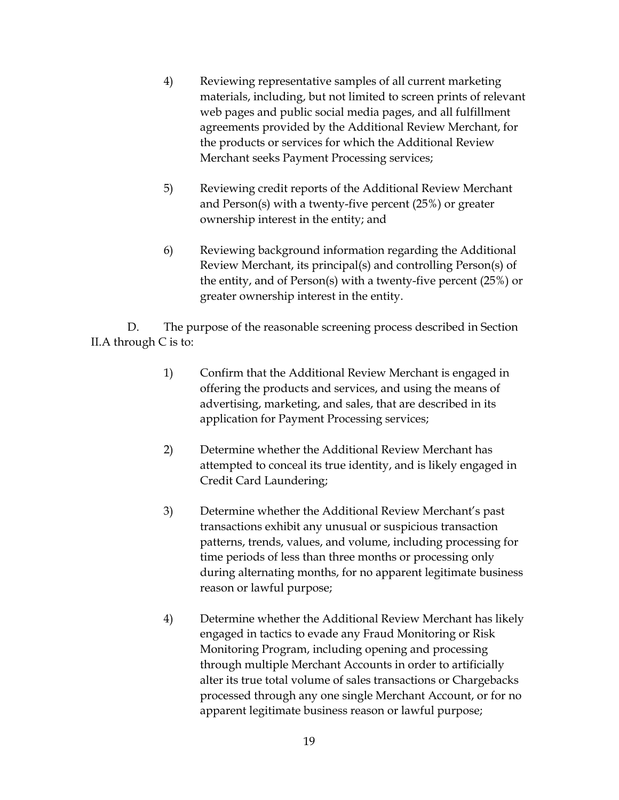- 4) Reviewing representative samples of all current marketing materials, including, but not limited to screen prints of relevant the products or services for which the Additional Review Merchant seeks Payment Processing services; web pages and public social media pages, and all fulfillment agreements provided by the Additional Review Merchant, for
- Merchant seeks Payment Processing services;<br>5) Reviewing credit reports of the Additional Review Merchant and Person(s) with a twenty-five percent (25%) or greater ownership interest in the entity; and
- 6) Reviewing background information regarding the Additional Review Merchant, its principal(s) and controlling Person(s) of the entity, and of Person(s) with a twenty-five percent (25%) or greater ownership interest in the entity.

 [II.A](#page-32-0) through [C](#page-35-0) is to: D. The purpose of the reasonable screening process described in Section

- offering the products and services, and using the means of 1) Confirm that the Additional Review Merchant is engaged in advertising, marketing, and sales, that are described in its application for Payment Processing services;
- 2) Determine whether the Additional Review Merchant has attempted to conceal its true identity, and is likely engaged in Credit Card Laundering;
- time periods of less than three months or processing only 3) Determine whether the Additional Review Merchant's past transactions exhibit any unusual or suspicious transaction patterns, trends, values, and volume, including processing for during alternating months, for no apparent legitimate business reason or lawful purpose;
- 4) Determine whether the Additional Review Merchant has likely alter its true total volume of sales transactions or Chargebacks apparent legitimate business reason or lawful purpose; engaged in tactics to evade any Fraud Monitoring or Risk Monitoring Program, including opening and processing through multiple Merchant Accounts in order to artificially processed through any one single Merchant Account, or for no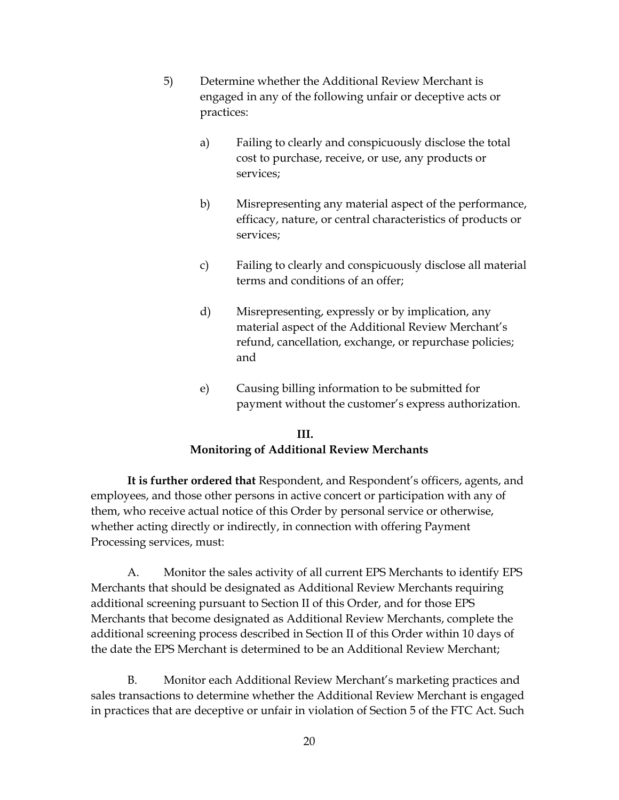- 5) Determine whether the Additional Review Merchant is engaged in any of the following unfair or deceptive acts or practices:
	- a) Failing to clearly and conspicuously disclose the total cost to purchase, receive, or use, any products or services;
	- b) Misrepresenting any material aspect of the performance, efficacy, nature, or central characteristics of products or services;
	- c) Failing to clearly and conspicuously disclose all material terms and conditions of an offer;
	- d) Misrepresenting, expressly or by implication, any material aspect of the Additional Review Merchant's refund, cancellation, exchange, or repurchase policies; and
	- e) Causing billing information to be submitted for payment without the customer's express authorization.

#### **III.**

## **Monitoring of Additional Review Merchants**

 **It is further ordered that** Respondent, and Respondent's officers, agents, and them, who receive actual notice of this Order by personal service or otherwise, employees, and those other persons in active concert or participation with any of whether acting directly or indirectly, in connection with offering Payment Processing services, must:

 additional screening pursuant to Section II of this Order, and for those EPS additional screening process described in Section II of this Order within 10 days of the date the EPS Merchant is determined to be an Additional Review Merchant; A. Monitor the sales activity of all current EPS Merchants to identify EPS Merchants that should be designated as Additional Review Merchants requiring Merchants that become designated as Additional Review Merchants, complete the

 in practices that are deceptive or unfair in violation of Section 5 of the FTC Act. Such B. Monitor each Additional Review Merchant's marketing practices and sales transactions to determine whether the Additional Review Merchant is engaged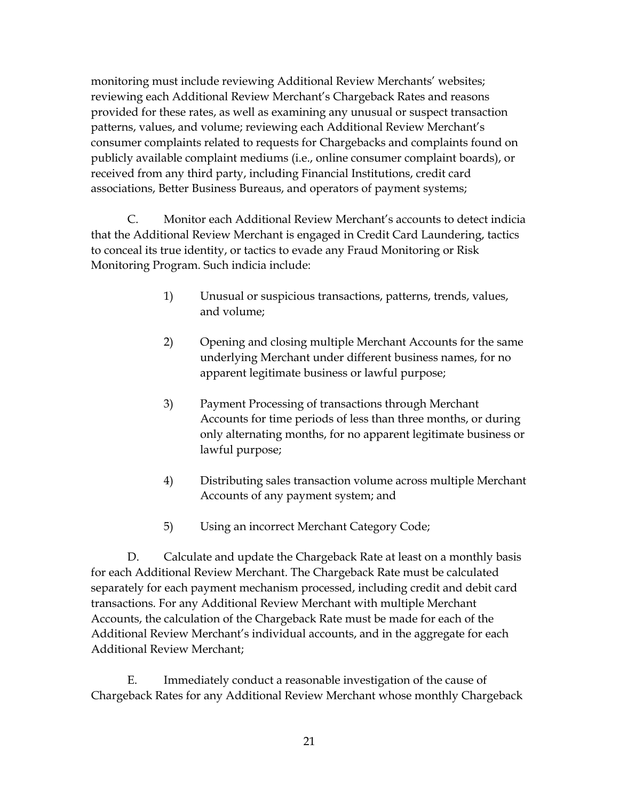monitoring must include reviewing Additional Review Merchants' websites; reviewing each Additional Review Merchant's Chargeback Rates and reasons provided for these rates, as well as examining any unusual or suspect transaction patterns, values, and volume; reviewing each Additional Review Merchant's consumer complaints related to requests for Chargebacks and complaints found on publicly available complaint mediums (i.e., online consumer complaint boards), or received from any third party, including Financial Institutions, credit card associations, Better Business Bureaus, and operators of payment systems;

C. Monitor each Additional Review Merchant's accounts to detect indicia that the Additional Review Merchant is engaged in Credit Card Laundering, tactics to conceal its true identity, or tactics to evade any Fraud Monitoring or Risk Monitoring Program. Such indicia include:

- 1) Unusual or suspicious transactions, patterns, trends, values, and volume;
- 2) Opening and closing multiple Merchant Accounts for the same underlying Merchant under different business names, for no apparent legitimate business or lawful purpose;
- Accounts for time periods of less than three months, or during 3) Payment Processing of transactions through Merchant only alternating months, for no apparent legitimate business or lawful purpose;
- 4) Distributing sales transaction volume across multiple Merchant Accounts of any payment system; and
- 5) Using an incorrect Merchant Category Code;

 Accounts, the calculation of the Chargeback Rate must be made for each of the D. Calculate and update the Chargeback Rate at least on a monthly basis for each Additional Review Merchant. The Chargeback Rate must be calculated separately for each payment mechanism processed, including credit and debit card transactions. For any Additional Review Merchant with multiple Merchant Additional Review Merchant's individual accounts, and in the aggregate for each Additional Review Merchant;

<span id="page-38-0"></span>E. Immediately conduct a reasonable investigation of the cause of Chargeback Rates for any Additional Review Merchant whose monthly Chargeback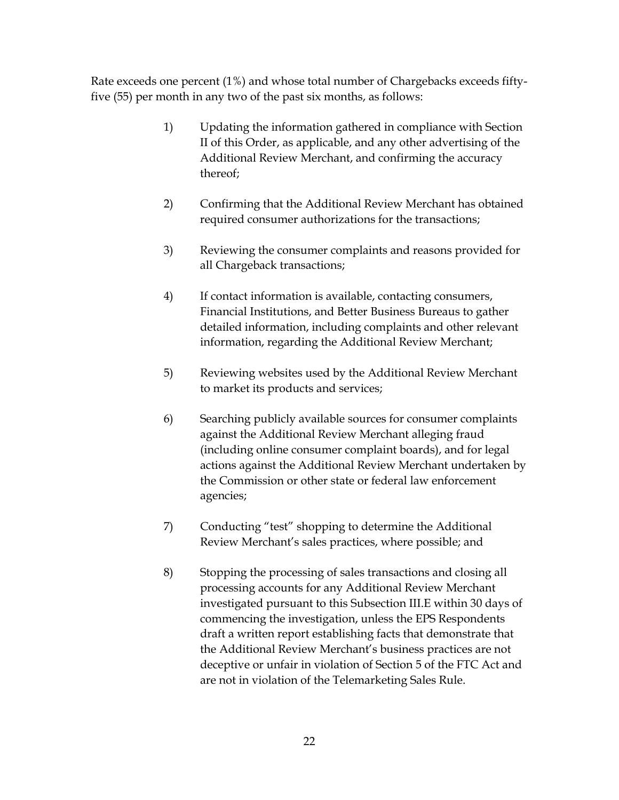Rate exceeds one percent (1%) and whose total number of Chargebacks exceeds fiftyfive (55) per month in any two of the past six months, as follows:

- Additional Review Merchant, and confirming the accuracy 1) Updating the information gathered in compliance with Section II of this Order, as applicable, and any other advertising of the thereof;
- required consumer authorizations for the transactions; 2) Confirming that the Additional Review Merchant has obtained
- 3) Reviewing the consumer complaints and reasons provided for all Chargeback transactions;
- 4) If contact information is available, contacting consumers, Financial Institutions, and Better Business Bureaus to gather detailed information, including complaints and other relevant information, regarding the Additional Review Merchant;
- 5) Reviewing websites used by the Additional Review Merchant to market its products and services;
- 6) Searching publicly available sources for consumer complaints against the Additional Review Merchant alleging fraud (including online consumer complaint boards), and for legal actions against the Additional Review Merchant undertaken by the Commission or other state or federal law enforcement agencies;
- 7) Conducting "test" shopping to determine the Additional Review Merchant's sales practices, where possible; and
- investigated pursuant to this Subsection [III.E](#page-38-0) within 30 days of draft a written report establishing facts that demonstrate that the Additional Review Merchant's business practices are not deceptive or unfair in violation of Section 5 of the FTC Act and are not in violation of the Telemarketing Sales Rule. 8) Stopping the processing of sales transactions and closing all processing accounts for any Additional Review Merchant commencing the investigation, unless the EPS Respondents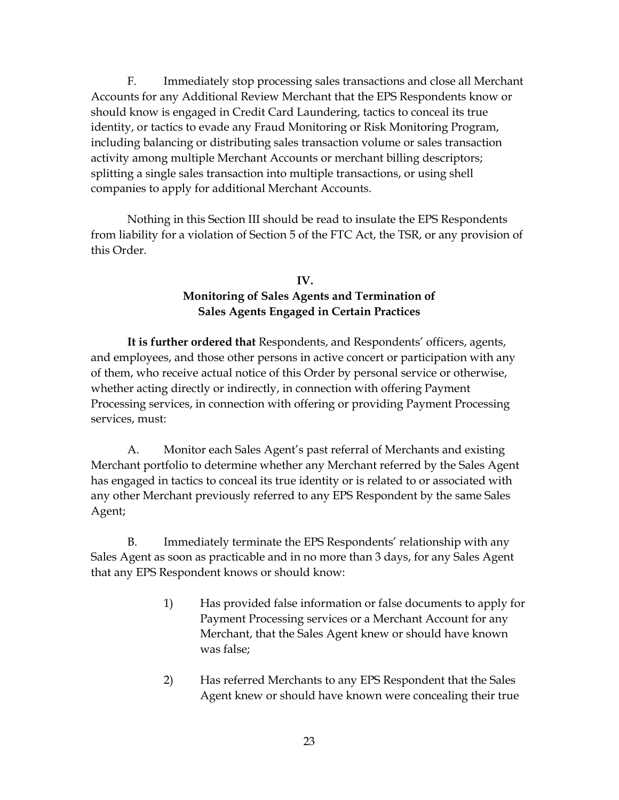Accounts for any Additional Review Merchant that the EPS Respondents know or identity, or tactics to evade any Fraud Monitoring or Risk Monitoring Program, companies to apply for additional Merchant Accounts. F. Immediately stop processing sales transactions and close all Merchant should know is engaged in Credit Card Laundering, tactics to conceal its true including balancing or distributing sales transaction volume or sales transaction activity among multiple Merchant Accounts or merchant billing descriptors; splitting a single sales transaction into multiple transactions, or using shell

 Nothing in this Section III should be read to insulate the EPS Respondents from liability for a violation of Section 5 of the FTC Act, the TSR, or any provision of this Order.

# **Sales Agents Engaged in Certain Practices IV. Monitoring of Sales Agents and Termination of**

 **It is further ordered that** Respondents, and Respondents' officers, agents, and employees, and those other persons in active concert or participation with any of them, who receive actual notice of this Order by personal service or otherwise, whether acting directly or indirectly, in connection with offering Payment Processing services, in connection with offering or providing Payment Processing services, must:

A. Monitor each Sales Agent's past referral of Merchants and existing Merchant portfolio to determine whether any Merchant referred by the Sales Agent has engaged in tactics to conceal its true identity or is related to or associated with any other Merchant previously referred to any EPS Respondent by the same Sales Agent;

 Sales Agent as soon as practicable and in no more than 3 days, for any Sales Agent that any EPS Respondent knows or should know: B. Immediately terminate the EPS Respondents' relationship with any

- Merchant, that the Sales Agent knew or should have known 1) Has provided false information or false documents to apply for Payment Processing services or a Merchant Account for any was false;
- 2) Has referred Merchants to any EPS Respondent that the Sales Agent knew or should have known were concealing their true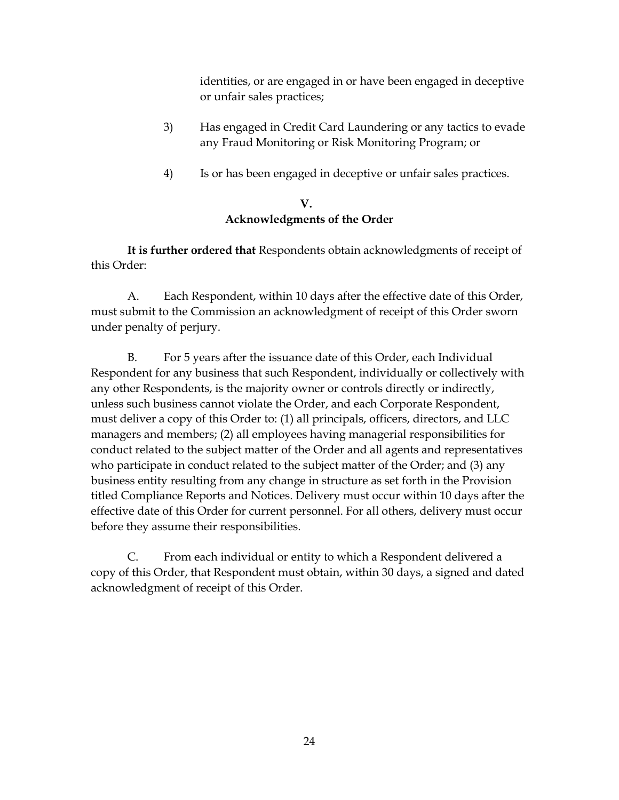identities, or are engaged in or have been engaged in deceptive or unfair sales practices;

- 3) Has engaged in Credit Card Laundering or any tactics to evade any Fraud Monitoring or Risk Monitoring Program; or
- 4) Is or has been engaged in deceptive or unfair sales practices.

# **V. Acknowledgments of the Order**

 **It is further ordered that** Respondents obtain acknowledgments of receipt of this Order:

A. Each Respondent, within 10 days after the effective date of this Order, must submit to the Commission an acknowledgment of receipt of this Order sworn under penalty of perjury.

 B. For 5 years after the issuance date of this Order, each Individual unless such business cannot violate the Order, and each Corporate Respondent, must deliver a copy of this Order to: (1) all principals, officers, directors, and LLC who participate in conduct related to the subject matter of the Order; and (3) any Respondent for any business that such Respondent, individually or collectively with any other Respondents, is the majority owner or controls directly or indirectly, managers and members; (2) all employees having managerial responsibilities for conduct related to the subject matter of the Order and all agents and representatives business entity resulting from any change in structure as set forth in the Provision titled Compliance Reports and Notices. Delivery must occur within 10 days after the effective date of this Order for current personnel. For all others, delivery must occur before they assume their responsibilities.

 copy of this Order, that Respondent must obtain, within 30 days, a signed and dated C. From each individual or entity to which a Respondent delivered a acknowledgment of receipt of this Order.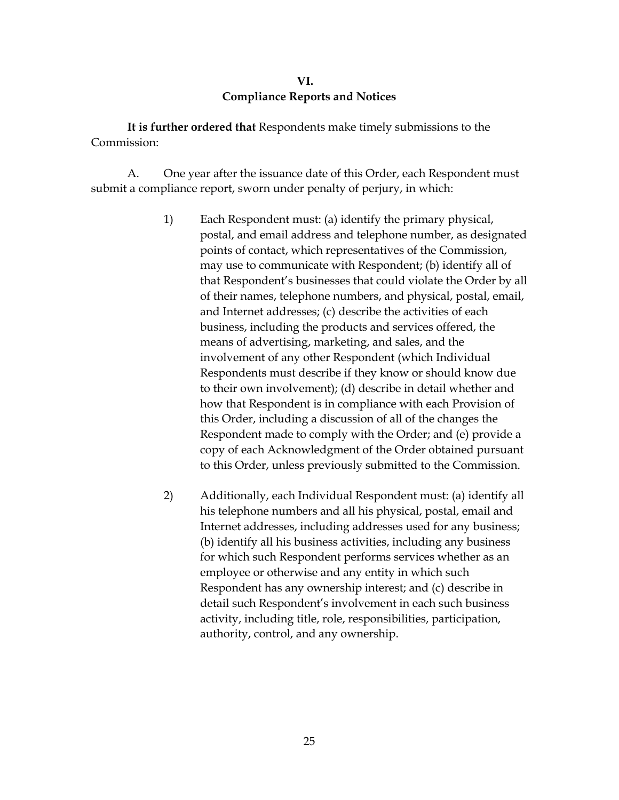#### **VI. Compliance Reports and Notices**

 **It is further ordered that** Respondents make timely submissions to the Commission:

 A. One year after the issuance date of this Order, each Respondent must submit a compliance report, sworn under penalty of perjury, in which:

- business, including the products and services offered, the Respondents must describe if they know or should know due copy of each Acknowledgment of the Order obtained pursuant 1) Each Respondent must: (a) identify the primary physical, postal, and email address and telephone number, as designated points of contact, which representatives of the Commission, may use to communicate with Respondent; (b) identify all of that Respondent's businesses that could violate the Order by all of their names, telephone numbers, and physical, postal, email, and Internet addresses; (c) describe the activities of each means of advertising, marketing, and sales, and the involvement of any other Respondent (which Individual to their own involvement); (d) describe in detail whether and how that Respondent is in compliance with each Provision of this Order, including a discussion of all of the changes the Respondent made to comply with the Order; and (e) provide a to this Order, unless previously submitted to the Commission.
- for which such Respondent performs services whether as an 2) Additionally, each Individual Respondent must: (a) identify all his telephone numbers and all his physical, postal, email and Internet addresses, including addresses used for any business; (b) identify all his business activities, including any business employee or otherwise and any entity in which such Respondent has any ownership interest; and (c) describe in detail such Respondent's involvement in each such business activity, including title, role, responsibilities, participation, authority, control, and any ownership.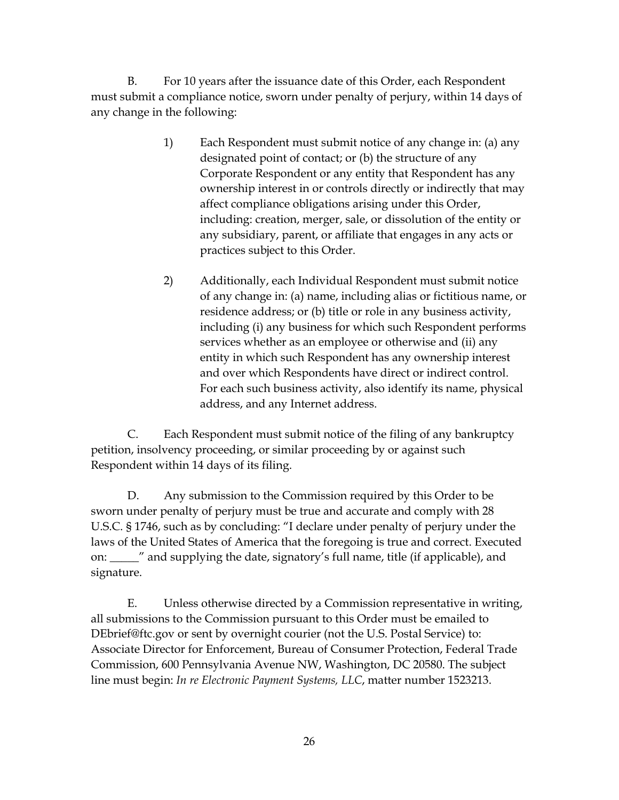B. For 10 years after the issuance date of this Order, each Respondent must submit a compliance notice, sworn under penalty of perjury, within 14 days of any change in the following:

- designated point of contact; or (b) the structure of any including: creation, merger, sale, or dissolution of the entity or 1) Each Respondent must submit notice of any change in: (a) any Corporate Respondent or any entity that Respondent has any ownership interest in or controls directly or indirectly that may affect compliance obligations arising under this Order, any subsidiary, parent, or affiliate that engages in any acts or practices subject to this Order.
- 2) Additionally, each Individual Respondent must submit notice of any change in: (a) name, including alias or fictitious name, or residence address; or (b) title or role in any business activity, including (i) any business for which such Respondent performs services whether as an employee or otherwise and (ii) any entity in which such Respondent has any ownership interest and over which Respondents have direct or indirect control. For each such business activity, also identify its name, physical address, and any Internet address.

C. Each Respondent must submit notice of the filing of any bankruptcy petition, insolvency proceeding, or similar proceeding by or against such Respondent within 14 days of its filing.

 laws of the United States of America that the foregoing is true and correct. Executed D. Any submission to the Commission required by this Order to be sworn under penalty of perjury must be true and accurate and comply with 28 U.S.C. § 1746, such as by concluding: "I declare under penalty of perjury under the on: \_\_\_\_\_" and supplying the date, signatory's full name, title (if applicable), and signature.

 Commission, 600 Pennsylvania Avenue NW, Washington, DC 20580. The subject E. Unless otherwise directed by a Commission representative in writing, all submissions to the Commission pursuant to this Order must be emailed to [DEbrief@ftc.gov](mailto:DEbrief@ftc.gov) or sent by overnight courier (not the U.S. Postal Service) to: Associate Director for Enforcement, Bureau of Consumer Protection, Federal Trade line must begin: *In re Electronic Payment Systems, LLC*, matter number 1523213.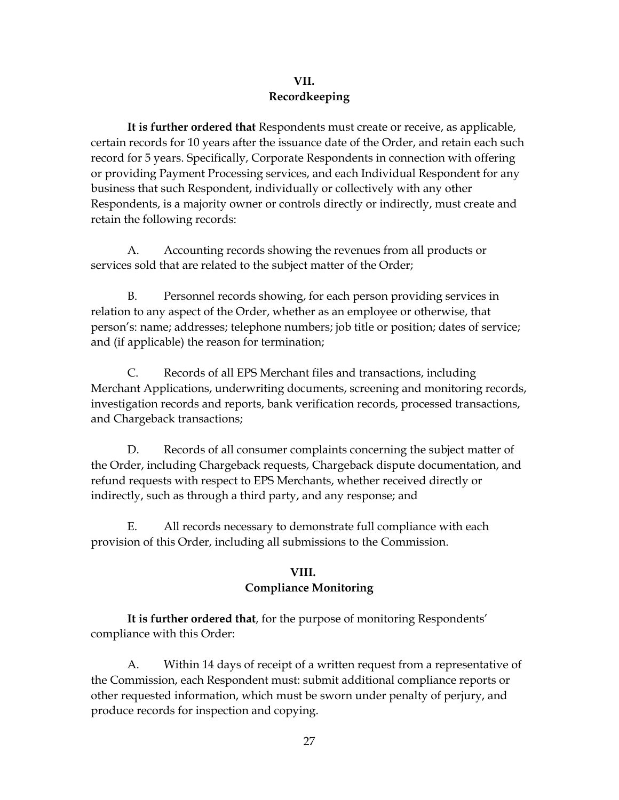## **VII. Recordkeeping**

 **It is further ordered that** Respondents must create or receive, as applicable, certain records for 10 years after the issuance date of the Order, and retain each such record for 5 years. Specifically, Corporate Respondents in connection with offering or providing Payment Processing services, and each Individual Respondent for any business that such Respondent, individually or collectively with any other Respondents, is a majority owner or controls directly or indirectly, must create and retain the following records:

A. Accounting records showing the revenues from all products or services sold that are related to the subject matter of the Order;

B. Personnel records showing, for each person providing services in relation to any aspect of the Order, whether as an employee or otherwise, that person's: name; addresses; telephone numbers; job title or position; dates of service; and (if applicable) the reason for termination;

C. Records of all EPS Merchant files and transactions, including Merchant Applications, underwriting documents, screening and monitoring records, investigation records and reports, bank verification records, processed transactions, and Chargeback transactions;

 the Order, including Chargeback requests, Chargeback dispute documentation, and indirectly, such as through a third party, and any response; and D. Records of all consumer complaints concerning the subject matter of refund requests with respect to EPS Merchants, whether received directly or

E. All records necessary to demonstrate full compliance with each provision of this Order, including all submissions to the Commission.

#### **VIII. Compliance Monitoring**

 **It is further ordered that**, for the purpose of monitoring Respondents' compliance with this Order:

A. Within 14 days of receipt of a written request from a representative of the Commission, each Respondent must: submit additional compliance reports or other requested information, which must be sworn under penalty of perjury, and produce records for inspection and copying.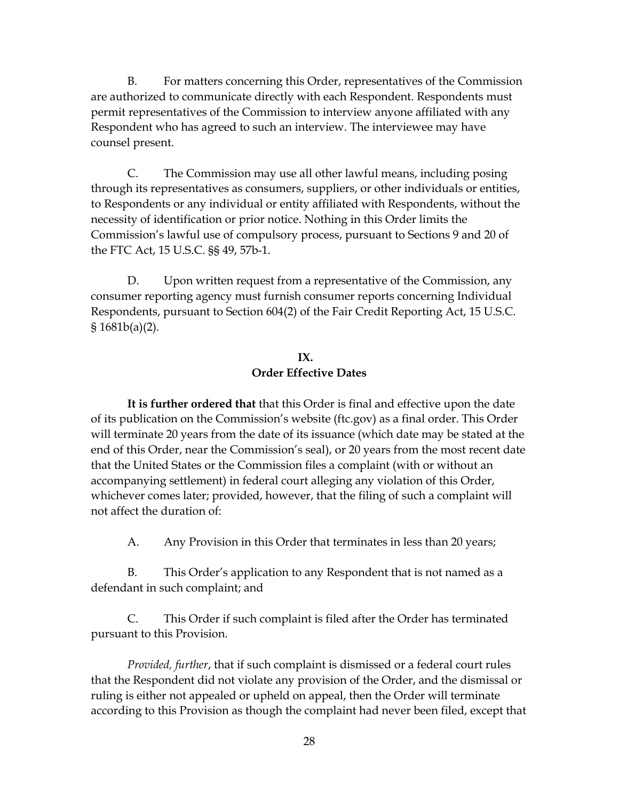B. For matters concerning this Order, representatives of the Commission Respondent who has agreed to such an interview. The interviewee may have are authorized to communicate directly with each Respondent. Respondents must permit representatives of the Commission to interview anyone affiliated with any counsel present.

 Commission's lawful use of compulsory process, pursuant to Sections 9 and 20 of C. The Commission may use all other lawful means, including posing through its representatives as consumers, suppliers, or other individuals or entities, to Respondents or any individual or entity affiliated with Respondents, without the necessity of identification or prior notice. Nothing in this Order limits the the FTC Act, 15 U.S.C. §§ 49, 57b-1.

 Respondents, pursuant to Section 604(2) of the Fair Credit Reporting Act, 15 U.S.C. D. Upon written request from a representative of the Commission, any consumer reporting agency must furnish consumer reports concerning Individual § 1681b(a)(2).

## **IX. Order Effective Dates**

 **It is further ordered that** that this Order is final and effective upon the date of its publication on the Commission's website (ftc.gov) as a final order. This Order end of this Order, near the Commission's seal), or 20 years from the most recent date accompanying settlement) in federal court alleging any violation of this Order, not affect the duration of: will terminate 20 years from the date of its issuance (which date may be stated at the that the United States or the Commission files a complaint (with or without an whichever comes later; provided, however, that the filing of such a complaint will

Any Provision in this Order that terminates in less than 20 years;

A. Any Provision in this Order that terminates in less than 20 years;<br>B. This Order's application to any Respondent that is not named as a defendant in such complaint; and

C. This Order if such complaint is filed after the Order has terminated pursuant to this Provision.

 *Provided, further*, that if such complaint is dismissed or a federal court rules that the Respondent did not violate any provision of the Order, and the dismissal or according to this Provision as though the complaint had never been filed, except that ruling is either not appealed or upheld on appeal, then the Order will terminate